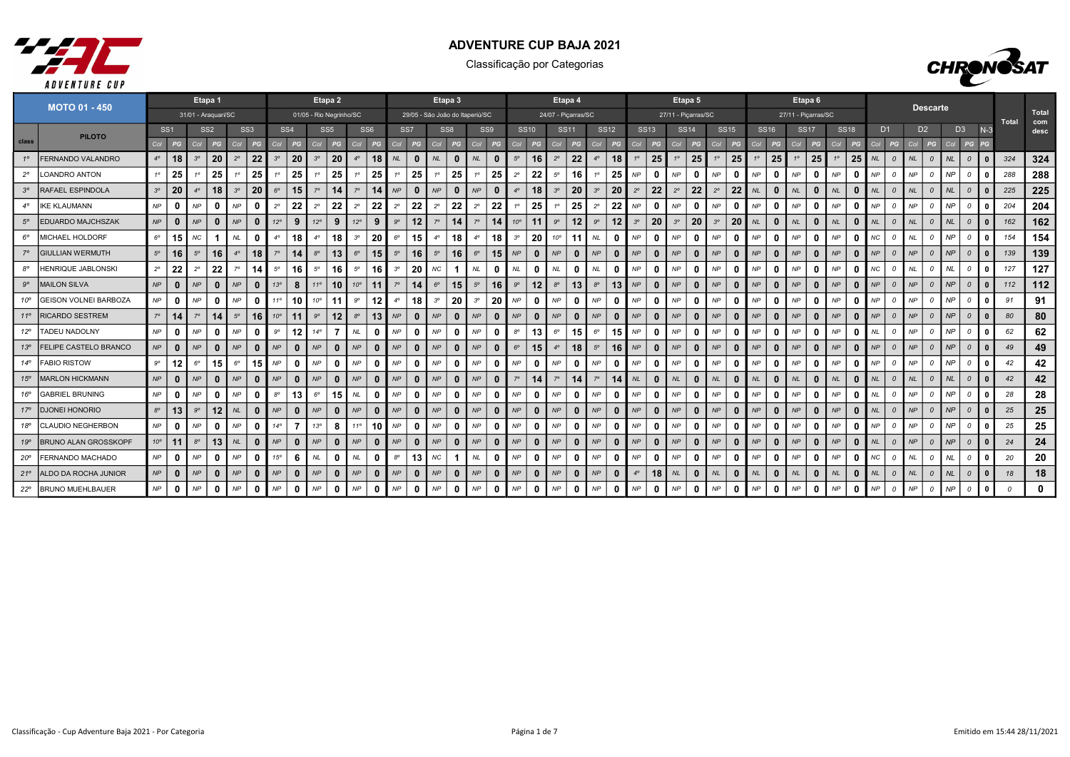



|              | <b>MOTO 01 - 450</b>         |              |                 |                | Etapa 1             |                |                 |                |                 |                         | Etapa 2         |              |                 |                 |                                 |             | Etapa 3         |               |              |                |              |              | Etapa 4             |             |              |             |              |             | Etapa 5             |             |              |             |              |                     | Etapa <sub>6</sub> |           |             |           |                |               |                 |           |                         |              |       |              |
|--------------|------------------------------|--------------|-----------------|----------------|---------------------|----------------|-----------------|----------------|-----------------|-------------------------|-----------------|--------------|-----------------|-----------------|---------------------------------|-------------|-----------------|---------------|--------------|----------------|--------------|--------------|---------------------|-------------|--------------|-------------|--------------|-------------|---------------------|-------------|--------------|-------------|--------------|---------------------|--------------------|-----------|-------------|-----------|----------------|---------------|-----------------|-----------|-------------------------|--------------|-------|--------------|
|              |                              |              |                 |                | 31/01 - Araquari/SC |                |                 |                |                 | 01/05 - Rio Negrinho/SC |                 |              |                 |                 | 29/05 - São João do Itaperiú/SC |             |                 |               |              |                |              |              | 24/07 - Piçarras/SC |             |              |             |              |             | 27/11 - Piçarras/SC |             |              |             |              | 27/11 - Piçarras/SC |                    |           |             |           |                |               | <b>Descarte</b> |           |                         |              | Total | Total<br>com |
|              | <b>PILOTO</b>                |              | SS <sub>1</sub> |                | SS <sub>2</sub>     |                | SS <sub>3</sub> |                | SS <sub>4</sub> |                         | SS <sub>5</sub> |              | SS <sub>6</sub> | SS <sub>7</sub> |                                 |             | SS <sub>8</sub> |               | SS9          |                | <b>SS10</b>  | <b>SS11</b>  |                     |             | <b>SS12</b>  |             | <b>SS13</b>  |             | <b>SS14</b>         |             | <b>SS15</b>  |             | <b>SS16</b>  | <b>SS17</b>         |                    |           | <b>SS18</b> |           | D <sub>1</sub> |               | D <sub>2</sub>  |           | D <sub>3</sub>          | $N-3$        |       | desc         |
| class        |                              | Col          | PG              | Col            | PG                  | Col            | PG              | Col            | PG              | Col                     | PG              | Col          | PG              | Col             | PG                              | Col         | PG              | Col           | PG           | Col            | PG           | Col          | PG                  | Col         | PG           | Col         | PG           | Col         | PG                  | Col         | PG           | Col         | PG           | Col                 | PG                 | Col       | PG          | Col       | PG             | Col           | PG              | Col       | PG                      |              |       |              |
| $1^{\circ}$  | FERNANDO VALANDRO            | $4^\circ$    | 18              | 3 <sup>o</sup> | 20                  | $2^{\circ}$    | 22              | 3 <sup>o</sup> | 20              | 3 <sup>o</sup>          | 20              |              | 18              | NL              | $\bf{0}$                        | <b>NL</b>   | $\bf{0}$        | NL            | $\mathbf{0}$ | $5^\circ$      | 16           | $2^{\circ}$  | 22                  | $4^\circ$   | 18           | 10          | 25           |             | 25                  | 10          | 25           | $1^{\circ}$ | 25           |                     | 25                 |           | 25          | NL        | $\Omega$       | <b>NL</b>     | $\Omega$        | NL        | $\Omega$                |              | 324   | 324          |
| $2^{\circ}$  | <b>LOANDRO ANTON</b>         | $1^{\circ}$  | 25              |                | 25                  |                | 25              |                | 25              |                         | 25              |              | 25              |                 | 25                              |             | 25              |               | 25           | $2^{\circ}$    | 22           | $5^\circ$    | 16                  |             | 25           | <b>NP</b>   | $\mathbf{0}$ | NP          | $\Omega$            | NP          | n            | NP          | $\mathbf{0}$ | <b>NP</b>           |                    | NP        |             | <b>NP</b> |                | NP            |                 | <b>NP</b> |                         |              | 288   | 288          |
| $3^{\circ}$  | RAFAEL ESPINDOLA             | $3^{\circ}$  | 20              | $4^\circ$      | 18                  | 3 <sup>o</sup> | 20              | $6^\circ$      | 15              | $7^\circ$               | 14              |              | 14              | NP              | $\mathbf{0}$                    | NP          | $\bf{0}$        | NP            | $\bf{0}$     | $4^\circ$      | 18           | $3^{\circ}$  | 20                  | $3^{\circ}$ | 20           | $2^{\circ}$ | 22           | $2^{\circ}$ | 22                  | $2^{\circ}$ | 22           | <b>NL</b>   | $\bf{0}$     | NL                  | $\mathbf{0}$       | <b>NL</b> |             | NL        | $\Omega$       | <b>NL</b>     | $\Omega$        | NL        | $\mathcal{O}$           | $\mathbf{0}$ | 225   | 225          |
| $4^\circ$    | <b>IKE KLAUMANN</b>          | NP           | n               | NP             | $\Omega$            | NP             |                 | $2^{\circ}$    | 22              | $2^{\circ}$             | 22              | $2^{\circ}$  | 22              | $2^{\circ}$     | 22                              | $2^{\circ}$ | 22              | $2^{\circ}$   | 22           |                | 25           |              | 25                  | $2^{\circ}$ | 22           | <b>NP</b>   | $\mathbf{0}$ | <b>NP</b>   | $\mathbf{0}$        | NP          | n            | NP          | $\mathbf{0}$ | NP                  |                    | NP        |             | <b>NP</b> |                | NP            | $\Omega$        | <b>NP</b> |                         |              | 204   | 204          |
| $5^\circ$    | EDUARDO MAJCHSZAK            | NP           | $\mathbf{0}$    | NP             | $\mathbf{0}$        | NP             |                 | $12^{\circ}$   | 9               | $12^{\circ}$            | 9               | 12°          | 9               | $9^{\circ}$     | 12 <sup>2</sup>                 | $7^\circ$   | 14              | $7^\circ$     | 14           | $10^{\circ}$   |              | $9^\circ$    | 12                  | $9^{\circ}$ | 12           | $3^{\circ}$ | 20           | $3^{\circ}$ | 20                  | $3^{\circ}$ | 20           | NL          | $\mathbf{0}$ | NL                  | $\Omega$           | $N\!L$    |             | <b>NL</b> |                | NL            | $\mathcal{O}$   | NL        | $\Omega$                | $\mathbf{0}$ | 162   | 162          |
| $6^{\circ}$  | MICHAEL HOLDORF              | $6^{\circ}$  | 15              | <b>NC</b>      |                     | <b>NL</b>      | $\Omega$        | $4^\circ$      | 18              | $4^\circ$               | 18              | $3^{\circ}$  | 20              | $6^{\circ}$     | 15                              | $4^\circ$   | 18              | $4^\circ$     | 18           | $3^{\circ}$    | 20           | $10^{\circ}$ | 11                  | <b>NL</b>   | 0            | NP          | $\mathbf{0}$ | NP          | $\Omega$            | NP          | 0            | NP          | $\mathbf{0}$ | NP                  | 0                  | NP        |             | NC.       |                | <b>NL</b>     | $\Omega$        | <b>NP</b> |                         | 0            | 154   | 154          |
| $7^\circ$    | <b>GIULLIAN WERMUTH</b>      | $5^{\circ}$  | 16              | $5^{\circ}$    | 16                  | $4^\circ$      | 18              | $7^\circ$      | 14              | $8^{\circ}$             | 13              | $6^{\circ}$  | 15              | $5^{\circ}$     | 16                              | $5^{\circ}$ | 16              | $6^{\circ}$   |              | $15$ $NP$      | $\Omega$     | NP           | $\mathbf{0}$        | NP          | $\mathbf{0}$ | NP          | $\mathbf{0}$ | NP          | $\mathbf{0}$        | NP          | $\bf{0}$     | NP          | $\mathbf{0}$ | NP                  | $\bf{0}$           | NP        | $\Omega$    | <b>NP</b> | $\mathcal{O}$  | NP            | $\Omega$        | NP        | $\overline{a}$          | $\mathbf{0}$ | 139   | 139          |
| $8^{\circ}$  | HENRIQUE JABLONSKI           | $2^\circ$    | 22              | $2^{\circ}$    | 22                  | $7^\circ$      | 14              | $5^{\circ}$    | 16              | $5^{\circ}$             | 16              | $5^\circ$    | 16              | $3^{\circ}$     | 20                              | $N\!C$      |                 | NL            | $\mathbf{0}$ | $N\!L$         | 0            | NL           | $\mathbf{0}$        | <b>NL</b>   | 0            | <b>NP</b>   | 0            | NP          | $\mathbf{0}$        | NP          | 0            | NP          | $\mathbf{0}$ | NP                  | 0                  | NP        | $\Omega$    | NC.       | $\mathcal{O}$  | $N\mathsf{L}$ | $\mathcal{O}$   | $N\!L$    | $\overline{a}$          | $\mathbf 0$  | 127   | 127          |
| $9^{\circ}$  | <b>MAILON SILVA</b>          | NP           | $\mathbf{0}$    | NP             | $\mathbf{0}$        | NP             | $\Omega$        | $13^\circ$     | 8               | $11^{\circ}$            | 10              | $10^{\circ}$ | 11              | $7^\circ$       | 14                              | $6^{\circ}$ | 15              | $5^\circ$     |              | $16$ $9^\circ$ | 12           | $8^{\circ}$  | 13                  | $8^{\circ}$ | 13           | NP          | $\mathbf{0}$ | <b>NP</b>   | $\mathbf{0}$        | NP          | $\Omega$     | NP          | $\mathbf{0}$ | NP                  | $\mathbf{0}$       | NP        | $\Omega$    | NP        | $\mathcal{O}$  | NP            | $\mathcal{O}$   | NP        | $\mathcal{O}$           | $\mathbf{0}$ | 112   | 112          |
| $10^{\circ}$ | <b>GEISON VOLNEI BARBOZA</b> | NP           | $\Omega$        | NP             | $\mathbf{0}$        | NP             | 0               | $11^{\circ}$   | 10              | $10^{\circ}$            | 11              | $9^{\circ}$  | 12              | $4^\circ$       | 18                              | $3^{\circ}$ | 20              | $3^{\circ}$   | 20           | NP             | 0            | NP           | $\mathbf{0}$        | NP          | <sup>0</sup> | NP          | 0            | NP          | 0                   | NP          | <sup>0</sup> | NP          | $\mathbf{0}$ | NP                  | 0                  | NP        | $\Omega$    | NP        | $\mathcal{O}$  | <b>NP</b>     | $\Omega$        | NP        | $\overline{\mathbf{c}}$ | 0            | 91    | 91           |
| $11^{\circ}$ | <b>RICARDO SESTREM</b>       | $7^{\circ}$  | 14              | $7^\circ$      | 14                  | $5^\circ$      | 16              | $10^{\circ}$   | 11              | $9^{\circ}$             | 12              | $8^{\circ}$  | 13              | NP              | $\Omega$                        | NP          | $\bf{0}$        | NP            | $\mathbf{0}$ | NP             | $\Omega$     | NP           | $\mathbf{0}$        | <b>NP</b>   | $\mathbf{0}$ | NP          | $\mathbf{0}$ | NP          | $\mathbf{0}$        | NP          | $\Omega$     | NP          | $\mathbf{0}$ | NP                  | $\Omega$           | NP        |             | <b>NP</b> |                | NP            | $\Omega$        | NP        | $\Omega$                | $\Omega$     | 80    | 80           |
| 12°          | <b>TADEU NADOLNY</b>         | NP           | 0               | NP             | $\mathbf{0}$        | NP             | - 0             | go             | 12              | $14^{\circ}$            |                 | NL           | $\Omega$        | NP              | 0                               | NP          | 0               | NP            | 0            | $8^{\circ}$    | 13           | $6^{\circ}$  | 15                  | $6^{\circ}$ | 15           | NP          | $\mathbf{0}$ | NP          | 0                   | NP          | <sup>0</sup> | NP          | $\mathbf{0}$ | NP                  | 0                  | NP        |             | NL        |                | <b>NP</b>     | $\Omega$        | NP        | $\overline{0}$          | 0            | 62    | 62           |
| 13°          | FELIPE CASTELO BRANCO        | NP           | $\bf{0}$        | NP             |                     | NP             |                 | NP             | $\mathbf{0}$    | <b>NP</b>               | $\bf{0}$        | <b>NP</b>    | $\Omega$        | NP              | $\mathbf{0}$                    | NP          | $\bf{0}$        | NP            | $\mathbf{0}$ | $6^{\circ}$    | 15           | $4^\circ$    | 18                  | $5^\circ$   | 16           | NP          | $\mathbf{0}$ | NP          | $\Omega$            | NP          | $\Omega$     | NP          | $\mathbf{0}$ | NP                  | $\mathbf{0}$       | NP        |             | <b>NP</b> | $\Omega$       | NP            | $\Omega$        | NP        |                         | $\mathbf{0}$ | 49    | 49           |
| $14^\circ$   | <b>FABIO RISTOW</b>          | $9^{\circ}$  | 12              | $6^{\circ}$    | 15                  | $6^{\circ}$    | 15              | NP             | $\Omega$        | NP                      | 0               | NP           | 0               | NP              | 0                               | NP          | 0               | $\mathsf{NP}$ | $\mathbf{0}$ | NP             | 0            | NP           | $\mathbf{0}$        | <b>NP</b>   | 0            | <b>NP</b>   | 0            | NP          | 0                   | NP          | 0            | NP          | $\mathbf{0}$ | NP                  | 0                  | NP        |             | <b>NP</b> |                | <b>NP</b>     | $\Omega$        | <b>NP</b> | $\Omega$                | 0            | 42    | 42           |
| 15°          | <b>MARLON HICKMANN</b>       | NP           | $\mathbf{0}$    | NP             | $\mathbf{0}$        | NP             |                 | NP             | $\Omega$        | <b>NP</b>               | $\bf{0}$        | NP           |                 | NP              | $\Omega$                        | NP          | $\bf{0}$        | NP            | $\bf{0}$     | $7^\circ$      |              | $7^\circ$    | 14                  | $7^\circ$   | 14           | <b>NL</b>   | $\bf{0}$     | NL          | $\Omega$            | NL          | $\Omega$     | NL          | $\mathbf{0}$ | NL                  | n                  | NL        |             | NL        |                | NL            | $\Omega$        | NL        | $\Omega$                | 0            | 42    | 42           |
| 16°          | <b>GABRIEL BRUNING</b>       | NP           | 0               | NP             | $\Omega$            | NP             |                 | $8^{\circ}$    | 13              | $6^{\circ}$             | 15              | NL           | 0               | NP              | 0                               | NP          | 0               | NP            | $\mathbf{0}$ | NP             |              | NP           | $\Omega$            | <b>NP</b>   | 0            | NP          | $\mathbf{0}$ | NP          | 0                   | NP          | 0            | NP          | $\mathbf{0}$ | NP                  | 0                  | NP        |             | <b>NL</b> |                | NP            | $\Omega$        | <b>NP</b> | $\overline{a}$          | 0            | 28    | 28           |
| 17°          | <b>DJONEI HONORIO</b>        | $8^{\circ}$  | 13              | $9^{\circ}$    | 12 <sup>2</sup>     | $N\!L$         |                 | NP             | $\Omega$        | <b>NP</b>               | $\bf{0}$        | NP           | $\mathbf{0}$    | NP              | $\Omega$                        | NP          | $\bf{0}$        | NP            | $\mathbf{0}$ | NP             |              | NP           | $\mathbf{0}$        | <b>NP</b>   | $\mathbf{0}$ | NP          | $\mathbf{0}$ | NP          | $\mathbf{0}$        | NP          | $\Omega$     | NP          | $\bf{0}$     | NP                  | $\mathbf{0}$       | NP        |             | <b>NL</b> |                | NP            | $\Omega$        | NP        | $\Omega$                | $\Omega$     | 25    | 25           |
| 18°          | <b>CLAUDIO NEGHERBON</b>     | NP           | $\Omega$        | NP             | $\Omega$            | NP             | $\Omega$        | $14^{\circ}$   |                 | 13°                     | 8               | 11°          | 10              | NP              | 0                               | NP          | 0               | NP            | $\mathbf{0}$ | NP             | 0            | NP           | $\Omega$            | <b>NP</b>   | $\mathbf{0}$ | NP          | $\mathbf{0}$ | NP          | 0                   | NP          | <sup>0</sup> | NP          | $\mathbf{0}$ | NP                  | 0                  | NP        |             | <b>NP</b> |                | <b>NP</b>     | $\Omega$        | NP        | $\Omega$                | 0            | 25    | 25           |
| 19°          | <b>BRUNO ALAN GROSSKOPF</b>  | $10^{\circ}$ | 11              | $8^{\circ}$    | 13                  | NL             |                 | NP             | $\Omega$        | NP                      | $\mathbf{0}$    | NP           | $\mathbf{0}$    | NP              | $\mathbf{0}$                    | NP          | $\bf{0}$        | NP            | $\mathbf{0}$ | NP             | $\mathbf{0}$ | NP           | $\mathbf{0}$        | NP          | $\mathbf{0}$ | NP          | $\mathbf{0}$ | NP          | $\mathbf{0}$        | NP          | $\bf{0}$     | NP          | $\mathbf{0}$ | NP                  | $\Omega$           | NP        |             | NL        | $\mathcal{O}$  | NP            | $\mathcal{O}$   | NP        | $\overline{a}$          | $\mathbf{0}$ | 24    | 24           |
| $20^{\circ}$ | FERNANDO MACHADO             | NP           | $\bf{0}$        | NP             | $\mathbf{0}$        | NP             | 0               | 15°            | 6               | NL                      | $\mathbf{0}$    | $N\!L$       | 0               | $8^{\circ}$     | 13                              | $N\!C$      |                 | $N\!L$        | $\mathbf{0}$ | NP             | 0            | NP           | $\mathbf{0}$        | NP          | 0            | NP          | 0            | NP          | $\mathbf{0}$        | NP          | 0            | NP          | $\mathbf{0}$ | NP                  | 0                  | NP        |             | NC        | $\Omega$       | <b>NL</b>     | $\mathcal{O}$   | NL        | $\overline{a}$          | 0            | 20    | 20           |
| 21°          | ALDO DA ROCHA JUNIOR         | NP           | $\mathbf{0}$    | NP             | $\mathbf{0}$        | NP             |                 | NP             | $\mathbf{0}$    | NP                      | $\mathbf{0}$    | NP           | $\mathbf{0}$    | NP              | $\mathbf{0}$                    | NP          | $\bf{0}$        | NP            |              | $0$ $NP$       | $\bf{0}$     | NP           | $\mathbf{0}$        | NP          | $\mathbf{0}$ | $4^\circ$   | 18           | NL          | $\bf{0}$            | $N\!L$      | $\bf{0}$     | NL          | $\mathbf{0}$ | NL                  | $\bf{0}$           | NL        |             | NL        | $\mathcal{O}$  | NL            | $\Omega$        | NL        | $\cal O$                | $\mathbf{0}$ | 18    | 18           |
| $22^{\circ}$ | <b>BRUNO MUEHLBAUER</b>      | NP           | 0               | NP             | $\mathbf{0}$        | NP             | 0               | NP             | $\mathbf{0}$    | NP                      | $\mathbf{0}$    | NP           | $\mathbf{0}$    | NP              | $\mathbf 0$                     | NP          | 0               | NP            | $\mathbf 0$  | NP             | 0            | NP           | $\mathbf{0}$        | NP          | 0            | NP          | $\mathbf{0}$ | NP          | $\mathbf 0$         | NP          | 0            | NP          | $\mathbf 0$  | NP                  | 0                  | NP        |             | NP        | $\mathcal{O}$  | <b>NP</b>     | $\mathcal{O}$   | <b>NP</b> | $\overline{\mathbf{c}}$ | 0            |       | 0            |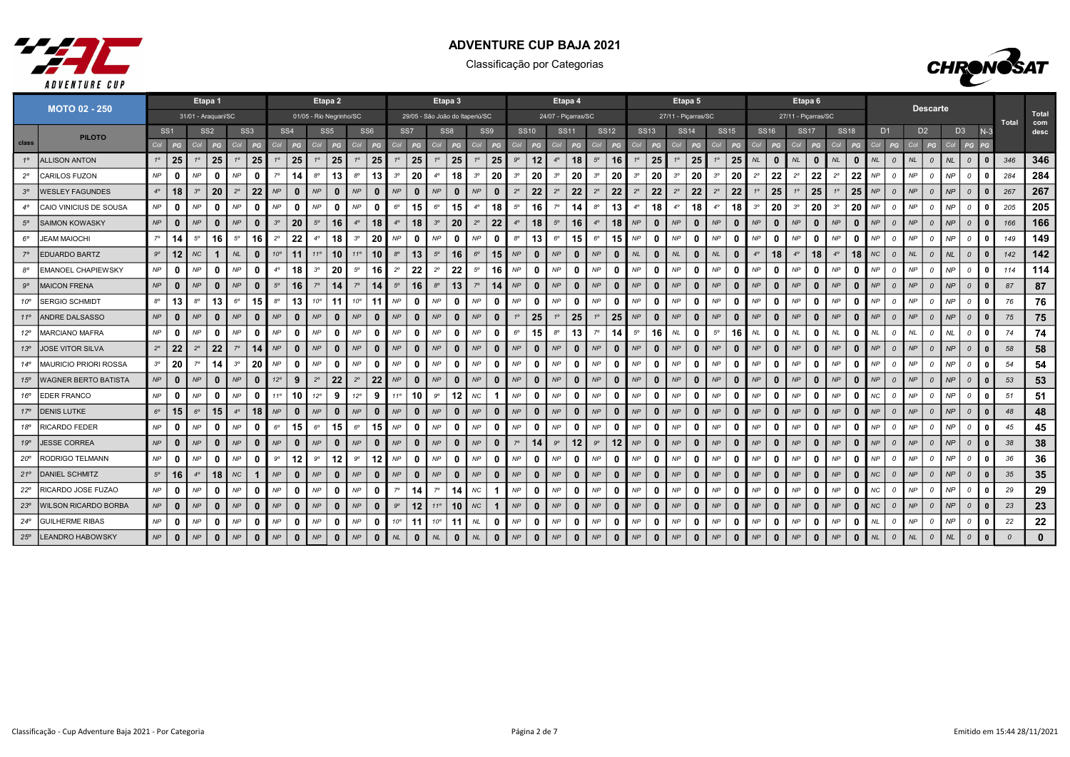



|              | <b>MOTO 02 - 250</b>         |                                                       |              |             | Etapa 1      |             |              |              |                 |                         | Etapa 2         |              |                 |              |                                 |              | Etapa 3         |             |                 |             |              |             | Etapa 4             |             |              |             |              | Etapa 5             |                   |                            |              |                  |              | Etapa 6             |              |             |              |                |                |           | <b>Descarte</b> |           |                |              |                |              |
|--------------|------------------------------|-------------------------------------------------------|--------------|-------------|--------------|-------------|--------------|--------------|-----------------|-------------------------|-----------------|--------------|-----------------|--------------|---------------------------------|--------------|-----------------|-------------|-----------------|-------------|--------------|-------------|---------------------|-------------|--------------|-------------|--------------|---------------------|-------------------|----------------------------|--------------|------------------|--------------|---------------------|--------------|-------------|--------------|----------------|----------------|-----------|-----------------|-----------|----------------|--------------|----------------|--------------|
|              |                              | 31/01 - Araquari/SC                                   |              |             |              |             |              |              |                 | 01/05 - Rio Negrinho/SC |                 |              |                 |              | 29/05 - São João do Itaperiú/SC |              |                 |             |                 |             |              |             | 24/07 - Piçarras/SC |             |              |             |              | 27/11 - Picarras/SC |                   |                            |              |                  |              | 27/11 - Picarras/SC |              |             |              |                |                |           |                 |           |                |              | Total          | Total<br>com |
|              | <b>PILOTO</b>                | SS <sub>1</sub><br>SS <sub>2</sub><br>SS <sub>3</sub> |              |             |              |             |              |              | SS <sub>4</sub> |                         | SS <sub>5</sub> |              | SS <sub>6</sub> |              | SS <sub>7</sub>                 |              | SS <sub>8</sub> |             | SS <sub>9</sub> |             | <b>SS10</b>  |             | <b>SS11</b>         |             | <b>SS12</b>  | <b>SS13</b> |              | <b>SS14</b>         |                   | <b>SS15</b>                |              | SS <sub>16</sub> |              | <b>SS17</b>         |              | <b>SS18</b> |              | D <sub>1</sub> |                |           | D <sub>2</sub>  |           | D <sub>3</sub> | $N-3$        |                | desc         |
| class        |                              | Col                                                   | PG           | Col         | PG           | Col         | PG           | Col          | PG              | Col                     | PG              | Col          | PG              | Col          | PG                              | Col          | PG              | Col         | PG              | Col         | PG           | Col         | PG                  | Col         | PG           | Col         | PG           | Col                 | PG                | Col                        | PG           | Col              | PG           | Col                 | PG           | Col         | PG           | Col            | PG             | Col       | PG              | Col       | PG             | PG           |                |              |
| $1^{\circ}$  | <b>ALLISON ANTON</b>         | $1^{\circ}$                                           | 25           | $1^{\circ}$ | 25           | $1^\circ$   | 25           | $1^{\circ}$  | 25              | $1^{\circ}$             | 25              | 10           | 25              |              | 25                              | $1^{\circ}$  | 25              | $1^{\circ}$ | 25              | $9^{\circ}$ | 12           | $4^\circ$   | 18                  | $5^{\circ}$ | 16           | 10          | 25           | 1 <sup>c</sup>      | 25                | $1^{\circ}$                | 25           | NL               | $\bf{0}$     | NL                  | - 0          | NL          | $\Omega$     | NL             | $\Omega$       | NL        | $\Omega$        | <b>NL</b> | $\Omega$       |              | 346            | 346          |
| $2^{\circ}$  | CARILOS FUZON                | NP                                                    | $\mathbf{0}$ | NP          | $\Omega$     | <b>NP</b>   | - 0          | $7^\circ$    | 14              | $8^{\circ}$             | 13              | $8^{\circ}$  | 13              | $3^{\circ}$  | 20                              | $4^\circ$    | 18              | $3^{\circ}$ | 20              | $3^{\circ}$ | 20           | $3^{\circ}$ | 20                  | $3^{\circ}$ | 20           | $3^{\circ}$ | 20           | $3^{\circ}$         | 20                | $3^{\circ}$                | 20           | $2^{\circ}$      | 22           | $2^{\circ}$         | 22           | $2^{\circ}$ | 22           | NP             | $\mathcal{O}$  | NP        | $\Omega$        | NP        | $\Omega$       |              | 284            | 284          |
|              | <b>WESLEY FAGUNDES</b>       | $4^\circ$                                             | 18           | $3^{\circ}$ | 20           | $2^{\circ}$ | 22           | NP           | $\bf{0}$        | NP                      | $\mathbf{0}$    | NP           | 0               | NP           | $\mathbf{0}$                    | <b>NP</b>    | 0               | NP          | $\bf{0}$        | $2^{\circ}$ | 22           | $2^{\circ}$ | 22                  | $2^{\circ}$ | 22           | $2^{\circ}$ | 22           | $2^{\circ}$         | $22 \overline{ }$ | $2^{\circ}$                | 22           |                  | 25           |                     | 25           | $1^{\circ}$ | 25           | NP             | $\mathcal{O}$  | NP        | $\Omega$        | NP        | $\overline{a}$ |              | 267            | 267          |
|              | CAIO VINICIUS DE SOUSA       | NP                                                    | $\mathbf{0}$ | NP          | 0            | NP          | - 0          | NP           | $\mathbf{0}$    | NP                      | 0               | NP           | 0               | $6^{\circ}$  | 15                              | $6^{\circ}$  | 15              | $4^\circ$   | 18              | $5^{\circ}$ | 16           | $7^\circ$   | 14                  | $8^{\circ}$ | 13           | $4^\circ$   | 18           | $4^\circ$           | 18                | $4^{\circ}$                | 18           | $3^{\circ}$      | 20           | $3^{\circ}$         | 20           | $3^{\circ}$ | 20           | NP             | 0              | <b>NP</b> | $\Omega$        | <b>NP</b> | $\Omega$       |              | 205            | 205          |
| $5^\circ$    | <b>SAIMON KOWASKY</b>        | NP                                                    | $\bf{0}$     | NP          | $\bf{0}$     | NP          |              | $3^{\circ}$  | 20              | $5^{\circ}$             | 16              |              | 18              | $4^\circ$    | 18                              | $3^{\circ}$  | 20              | $2^{\circ}$ | 22              | $4^\circ$   | 18           | $5^{\circ}$ | 16                  | $4^\circ$   | 18           | NP          | $\mathbf{0}$ | NP                  | $\mathbf{0}$      | NP                         |              | NP               | $\bf{0}$     | NP                  | $\mathbf{0}$ | NP          | $\mathbf{0}$ | NP             | $\Omega$       | NP        | $\Omega$        | NP        | $\Omega$       |              | 166            | 166          |
| $6^{\circ}$  | <b>JEAM MAIOCHI</b>          | $7^{\circ}$                                           | 14           | $5^{\circ}$ | 16           | $5^\circ$   | 16           | $2^{\circ}$  | 22              | 4°                      | 18              | $3^{\circ}$  | 20              | NP           | $\mathbf{0}$                    | <b>NP</b>    | 0               | NP          | $\mathbf 0$     | $8^{\circ}$ | 13           | $6^{\circ}$ | 15                  | $6^{\circ}$ | 15           | NP          | 0            | NP                  | 0                 | NP                         | n            | NP               | $\mathbf{0}$ | NP                  | - 0          | NP          | n            | <b>NP</b>      | $\Omega$       | NP        | 0               | NP        | $\Omega$       |              | 149            | 149          |
|              | <b>EDUARDO BARTZ</b>         | $9^{\circ}$                                           | 12           | <b>NC</b>   | $\mathbf{1}$ | <b>NL</b>   | $\mathbf{0}$ | $10^{\circ}$ | 11              | $11^{\circ}$            | 10              | $11^{\circ}$ | 10 <sup>1</sup> | $8^{\circ}$  | 13                              | $5^{\circ}$  | 16              | $6^{\circ}$ | 15              | NP          | 0            | NP          | $\mathbf{0}$        | NP          | $\bf{0}$     | NL          | $\mathbf{0}$ | <b>NL</b>           | $\mathbf 0$       | <b>NL</b>                  |              | $4^{\circ}$      | 18           | $4^\circ$           | 18           | $4^\circ$   | 18           | NC             | $\mathcal{O}$  | NL        | $\mathcal{O}$   | <b>NL</b> | $\mathcal{O}$  |              | 142            | 142          |
|              | <b>EMANOEL CHAPIEWSKY</b>    | NP                                                    | $\mathbf{0}$ | NP          | $\mathbf{0}$ | NP          | - 0          | $4^\circ$    | 18              | $3^{\circ}$             | 20              | $5^{\circ}$  | 16              | $2^{\circ}$  | 22                              | $2^{\circ}$  | 22              | $5^\circ$   | 16              | NP          | 0            | NP          | $\mathbf 0$         | NP          | 0            | NP          | 0            | NP                  | 0                 | NP                         | 0            | NP               | $\bf{0}$     | NP                  | 0            | NP          | n            | <b>NP</b>      | $\Omega$       | NP        |                 | <b>NP</b> | $\Omega$       |              | 114            | 114          |
| $9^{\circ}$  | <b>MAICON FRENA</b>          | NP                                                    | $\mathbf{0}$ | NP          |              | NP          |              | $5^\circ$    | 16              | $7^\circ$               | 14              |              | 14              | $5^{\circ}$  | 16                              | $8^{\circ}$  | 13              | $7^\circ$   | 14              | NP          | 0            | NP          | $\mathbf{0}$        | NP          | $\mathbf{0}$ | NP          | $\mathbf{0}$ | NP                  | $\mathbf{0}$      | NP                         |              | NP               | $\mathbf{0}$ | NP                  | 0            | NP          | $\bf{0}$     | NP             | $\Omega$       | NP        | $\Omega$        | NP        | $\Omega$       |              | 87             | 87           |
| 10°          | <b>SERGIO SCHMIDT</b>        | $8^{\circ}$                                           | 13           | $8^{\circ}$ | 13           | $6^{\circ}$ | 15           | $8^{\circ}$  | 13              | $10^{\circ}$            | 11              | $10^{\circ}$ | 11              | NP           | $\mathbf{0}$                    | NP           | 0               | NP          | $\mathbf{0}$    | <b>NP</b>   | 0            | NP          | $\mathbf{0}$        | NP          | 0            | NP          | $\mathbf{0}$ | NP                  | 0                 | NP                         | 0            | NP               | $\mathbf{0}$ | NP                  | 0            | NP          | $\mathbf{0}$ | NP             | $\Omega$       | NP        | $\Omega$        | NP        | $\Omega$       | $\Omega$     | 76             | 76           |
| 110          | <b>ANDRE DALSASSO</b>        | NP                                                    | $\bf{0}$     | NP          |              | NP          | 0            | NP           | $\bf{0}$        | <b>NP</b>               | $\bf{0}$        | NP           | <sup>0</sup>    | NP           | $\mathbf{0}$                    | NP           | $\bf{0}$        | NP          | $\bf{0}$        | $1^\circ$   | 25           | $1^{\circ}$ | 25                  | 10          | 25           | NP          | $\mathbf{0}$ | NP                  | $\mathbf{0}$      | NP                         | 0            | NP               | $\mathbf{0}$ | NP                  | 0            | NP          | $\bf{0}$     | NP             | $\mathcal{O}$  | NP        | $\Omega$        | NP        | $\Omega$       |              | 75             | 75           |
| $12^{\circ}$ | <b>MARCIANO MAFRA</b>        | NP                                                    | $\mathbf{0}$ | NP          | $\mathbf{0}$ | NP          | 0            | NP           | $\mathbf{0}$    | NP                      | $\mathbf 0$     | NP           | 0               | NP           | $\mathbf{0}$                    | NP           | 0               | NP          | $\mathbf{0}$    | $6^{\circ}$ | 15           | $8^{\circ}$ | 13                  | $7^\circ$   | 14           | $5^{\circ}$ | 16           | NL                  | 0                 | $5^{\circ}$                | 16           | <b>NL</b>        | $\bf{0}$     | <b>NL</b>           | 0            | $N\!L$      | 0            | <b>NL</b>      | $\mathcal{O}$  | NL        | 0               | <b>NL</b> | $\Omega$       |              | 74             | 74           |
| 13°          | <b>JOSE VITOR SILVA</b>      | $2^\circ$                                             | 22           | $2^{\circ}$ | 22           | $7^\circ$   | 14           | NP           | $\Omega$        | NP                      | $\mathbf{0}$    | NP           | $\mathbf{0}$    | NP           | $\mathbf{0}$                    | <b>NP</b>    | $\bf{0}$        | NP          | $\mathbf{0}$    | NP          | $\mathbf{0}$ | NP          | $\mathbf{0}$        | NP          | $\mathbf{0}$ | NP          | $\mathbf{0}$ | NP                  | $\mathbf{0}$      | NP                         | 0            | NP               | $\mathbf{0}$ | NP                  | $\mathbf{0}$ | NP          | $\mathbf{0}$ | NP             | $\overline{a}$ | NP        | $\Omega$        | NP        | $\Omega$       |              | 58             | 58           |
| $14^{\circ}$ | <b>MAURICIO PRIORI ROSSA</b> | $3^{\circ}$                                           | 20           | $7^\circ$   | 14           | $3^{\circ}$ | 20           | <b>NP</b>    | n               | NP                      | 0               | NP           | <sup>0</sup>    | NP           | $\mathbf{0}$                    | <b>NP</b>    | 0               | NP          | $\mathbf{0}$    | NP          | 0            | NP          | $\mathbf 0$         | NP          | $\mathbf{0}$ | NP          | 0            | NP                  | 0                 | NP                         | O            | NP               | $\mathbf{0}$ | NP                  | 0            | <b>NP</b>   | $\Omega$     | <b>NP</b>      | $\mathcal{O}$  | NP        | 0               | <b>NP</b> | $\Omega$       |              | 54             | 54           |
| $15^\circ$   | WAGNER BERTO BATISTA         | NP                                                    | $\bf{0}$     | NP          | $\mathbf{0}$ | NP          | 0            | $12^{\circ}$ | 9               | $2^{\circ}$             | 22              | $2^{\circ}$  | 22              | NP           | $\mathbf{0}$                    | NP           | $\mathbf{0}$    | NP          | $\bf{0}$        | NP          | $\mathbf{0}$ | NP          | $\mathbf{0}$        | NP          | $\mathbf{0}$ | NP          | $\mathbf{0}$ | NP                  | $\mathbf{0}$      | NP                         | $\bf{0}$     | NP               | $\bf{0}$     | NP                  | $\mathbf{0}$ | NP          | $\mathbf{0}$ | NP             | $\Omega$       | NP        | $\Omega$        | NP        | $\mathcal{O}$  |              | 53             | 53           |
| 16°          | <b>EDER FRANCO</b>           | NP                                                    | $\Omega$     | NP          | ∩            | <b>NP</b>   | - 0          | $11^{\circ}$ | 10              | $12^{\circ}$            | 9               | 12°          | 9               | $11^{\circ}$ | 10                              | $9^{\circ}$  | 12              | <b>NC</b>   | -1              | NP          | - 0          | NP          | $\mathbf 0$         | NP          | 0            | NP          | 0            | NP                  | 0                 | NP                         | 0            | NP               | $\bf{0}$     | NP                  | 0            | NP          | $\Omega$     | <b>NC</b>      | $\Omega$       | NP        | $\Omega$        | <b>NP</b> | $\Omega$       |              | 51             | 51           |
| $17^{\circ}$ | <b>DENIS LUTKE</b>           | $6^{\circ}$                                           | 15           | $6^{\circ}$ | 15           | $4^\circ$   | 18           | NP           | $\Omega$        | NP                      | $\mathbf 0$     | NP           | $\Omega$        | NP           | $\mathbf{0}$                    | NP           | 0               | NP          | $\bf{0}$        | NP          | $\mathbf 0$  | NP          | $\mathbf{0}$        | NP          | $\mathbf{0}$ | NP          | $\mathbf{0}$ | NP                  | $\mathbf{0}$      | NP                         | n            | NP               | $\bf{0}$     | <b>NP</b>           | $\mathbf 0$  | NP          | $\mathbf{0}$ | NP             | $\overline{a}$ | NP        | $\Omega$        | NP        | $\mathcal{O}$  |              | 48             | 48           |
| 18°          | <b>RICARDO FEDER</b>         | NP                                                    | $\Omega$     | NP          | $\mathbf{0}$ | NP          |              | $6^{\circ}$  | 15              | $6^{\circ}$             | 15              | $6^{\circ}$  | 15              | NP           | $\mathbf{0}$                    | NP           | 0               | NP          | $\mathbf{0}$    | NP          | 0            | NP          | $\mathbf{0}$        | NP          | $\mathbf{0}$ | NP          | 0            | NP                  | $\mathbf{0}$      | NP                         | O            | NP               | $\mathbf{0}$ | NP                  | 0            | NP          | n            | <b>NP</b>      | $\Omega$       | NP        |                 | <b>NP</b> | $\Omega$       |              | 45             | 45           |
| 19°          | <b>JESSE CORREA</b>          | NP                                                    | $\bf{0}$     | NP          |              | NP          | $\mathbf{0}$ | NP           | $\bf{0}$        | NP                      | $\mathbf{0}$    | NP           | $\Omega$        | NP           | $\mathbf{0}$                    | <b>NP</b>    | $\mathbf{0}$    | NP          | $\bf{0}$        | $7^\circ$   | 14           | $9^{\circ}$ | 12                  | $9^{\circ}$ | 12           | NP          | $\mathbf{0}$ | NP                  | $\mathbf 0$       | NP                         | 0            | NP               | $\mathbf{0}$ | NP                  | $\mathbf{0}$ | NP          | $\mathbf{0}$ | NP             | $\Omega$       | NP        | $\Omega$        | NP        | $\Omega$       |              | 38             | 38           |
| $20^{\circ}$ | RODRIGO TELMANN              | NP                                                    | $\mathbf{0}$ | NP          | $\mathbf{0}$ | NP          | 0            | $9^{\circ}$  | 12              | $9^{\circ}$             | 12              | $9^{\circ}$  | 12              | NP           | $\mathbf{0}$                    | NP           | 0               | NP          | 0               | NP          | 0            | NP          | $\Omega$            | NP          | $\mathbf{0}$ | NP          | $\mathbf{0}$ | NP                  | $\Omega$          | NP                         | $\mathbf{0}$ | NP               | $\mathbf{0}$ | NP                  | 0            | NP          | $\mathbf{0}$ | NP             | $\Omega$       | NP        | 0               | <b>NP</b> | $\Omega$       | $\mathbf{r}$ | 36             | 36           |
| 21°          | <b>DANIEL SCHMITZ</b>        | $5^\circ$                                             | 16           | $4^\circ$   | 18           | NC          |              | NP           | $\bf{0}$        | NP                      | $\mathbf{0}$    | NP           | $\Omega$        | NP           | $\mathbf{0}$                    | NP           | 0               | NP          | $\bf{0}$        | NP          | 0            | NP          | $\mathbf{0}$        | NP          | $\bf{0}$     | NP          | $\mathbf{0}$ | NP                  | $\mathbf{0}$      | NP                         | 0            | NP               | $\bf{0}$     | NP                  | $\mathbf{0}$ | NP          | $\Omega$     | NC             | $\mathcal{O}$  | NP        | $\Omega$        | NP        | $\Omega$       |              | 35             | 35           |
| $22^{\circ}$ | RICARDO JOSE FUZAO           | NP                                                    | $\mathbf 0$  | NP          | n            | <b>NP</b>   | $\mathbf{0}$ | NP           | $\Omega$        | NP                      | $\mathbf{0}$    | NP           | 0               | $7^\circ$    | 14                              | $7^\circ$    | 14              | NС          | $\mathbf{1}$    | NP          | 0            | NP          | 0                   | NP          | $\mathbf{0}$ | NP          | $\mathbf 0$  | NP                  | 0                 | NP                         | 0            | NP               | $\mathbf{0}$ | NP                  | 0            | NP          | 0            | NС.            | $\Omega$       | NP        | $\Omega$        | <b>NP</b> | $\Omega$       |              | 29             | 29           |
| 23°          | WILSON RICARDO BORBA         | NP                                                    | $\bf{0}$     | NP          | $\bf{0}$     | NP          | $\Omega$     | NP           | $\bf{0}$        | NP                      | $\mathbf{0}$    | NP           | $\mathbf{0}$    | $9^{\circ}$  | 12 <sup>2</sup>                 | $11^{\circ}$ | 10              | $N\!C$      | $\mathbf{1}$    | NP          | $\mathbf{0}$ | NP          | $\mathbf 0$         | NP          | $\mathbf{0}$ | NP          | $\mathbf{0}$ | NP                  | $\mathbf 0$       | NP                         | 0            | NP               | $\bf{0}$     | NP                  | $\mathbf{0}$ | NP          | $\mathbf{0}$ | NC             | $\mathcal{O}$  | NP        | $\Omega$        | NP        | $\Omega$       |              | 23             | 23           |
| $24^{\circ}$ | <b>GUILHERME RIBAS</b>       | NP                                                    | $\mathbf{0}$ | NP          |              | NP          | -0           | <b>NP</b>    | n               | NP                      | 0               | NP           | 0               | $10^{\circ}$ | 11                              | $10^{\circ}$ | 11              | <b>NL</b>   |                 | NP          | 0            | NP          | $\Omega$            | NP          | $\mathbf{0}$ | NP          | 0            | NP                  | 0                 | NP                         |              | NP               | 0            | NP                  | -0           | NP          | n            |                |                | NP        |                 | <b>NP</b> |                |              | 22             | 22           |
| 25°          | <b>LEANDRO HABOWSKY</b>      | NP                                                    | $\mathbf{0}$ | NP          | $\bf{0}$     | NP          | $\mathbf 0$  | NP           | $\mathbf{0}$    | NP                      | $\mathbf{0}$    | NP           | $\mathbf{0}$    | $N\!L$       | $\mathbf{0}$                    | <b>NL</b>    | $\bf{0}$        | $N\!L$      | $\mathbf{0}$    | NP          | $\mathbf 0$  | NP          | $\mathbf{0}$        | NP          | $\mathbf{0}$ | NP          | $\mathbf{0}$ | NP                  | $\mathbf{0}$      | $\ensuremath{\mathsf{NP}}$ | $\bf{0}$     | NP               | $\mathbf{0}$ | NP                  | $\mathbf 0$  | NP          | $\mathbf{0}$ | $N\!L$         | $\mathcal{O}$  | NL        | $\mathcal{O}$   | NL        | $\mathcal{O}$  |              | $\overline{a}$ | $\mathbf{0}$ |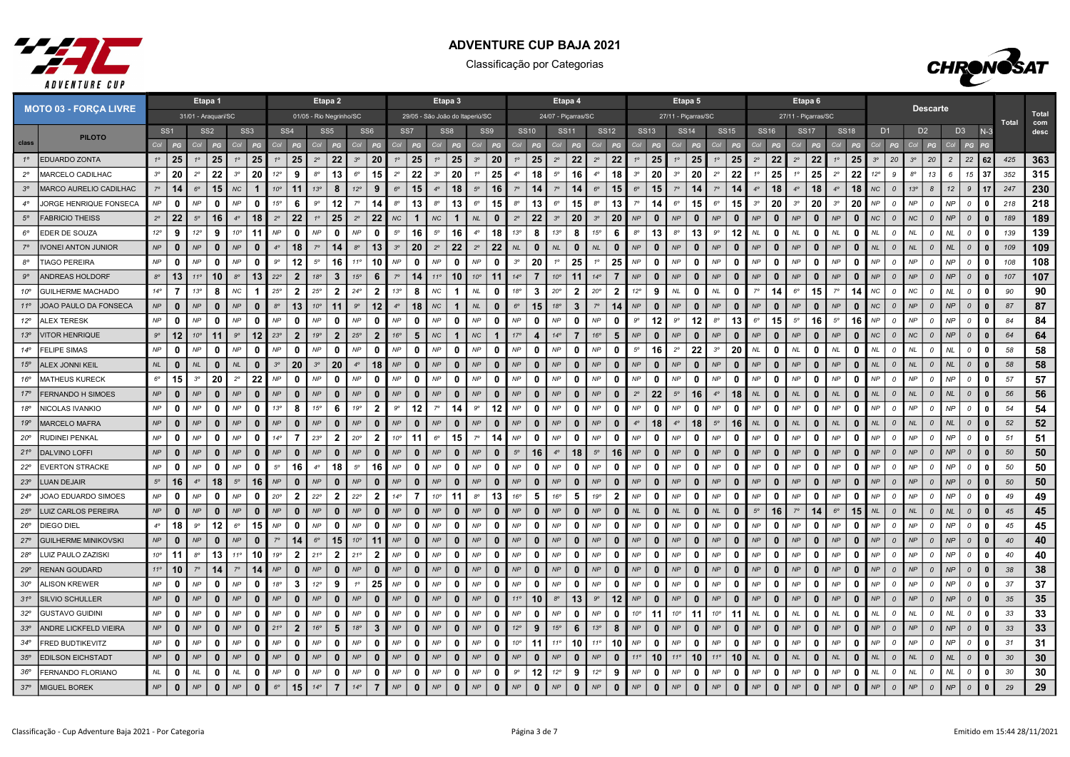



|                 | <b>MOTO 03 - FORÇA LIVRE</b> | Etapa 1                    |                 |              |                 |                            |                 |              |                         | Etapa 2         |                         |                 |                         |                 |              | Etapa 3                    |              |                                 |              |                 |                | Etapa 4             |                         |                 |                |                        |                      | Etapa 5             |               |              |             |              | Etapa 6        |                     |             |                     |                                  |                 | <b>Descarte</b> |                |                |              |              |              |
|-----------------|------------------------------|----------------------------|-----------------|--------------|-----------------|----------------------------|-----------------|--------------|-------------------------|-----------------|-------------------------|-----------------|-------------------------|-----------------|--------------|----------------------------|--------------|---------------------------------|--------------|-----------------|----------------|---------------------|-------------------------|-----------------|----------------|------------------------|----------------------|---------------------|---------------|--------------|-------------|--------------|----------------|---------------------|-------------|---------------------|----------------------------------|-----------------|-----------------|----------------|----------------|--------------|--------------|--------------|
|                 |                              | 31/01 - Araquari/SC        |                 |              |                 |                            |                 |              |                         |                 | 01/05 - Rio Negrinho/SC |                 |                         |                 |              |                            |              | 29/05 - São João do Itaperiú/SC |              |                 |                | 24/07 - Piçarras/SC |                         |                 |                |                        |                      | 27/11 - Piçarras/SC |               |              |             |              |                | 27/11 - Piçarras/SC |             |                     |                                  |                 |                 |                |                |              | <b>Total</b> | Total<br>com |
|                 | <b>PILOTO</b>                |                            | SS <sub>1</sub> |              | SS <sub>2</sub> |                            | SS <sub>3</sub> |              | SS <sub>4</sub>         | SS <sub>5</sub> |                         | SS <sub>6</sub> |                         | SS <sub>7</sub> |              | SS8                        |              | SS9                             |              |                 | <b>SS10</b>    | <b>SS11</b>         |                         | <b>SS12</b>     |                | <b>SS13</b>            |                      | <b>SS14</b>         |               | <b>SS15</b>  | <b>SS16</b> |              | <b>SS17</b>    |                     | <b>SS18</b> |                     | D <sub>1</sub>                   |                 | D <sub>2</sub>  |                | D <sub>3</sub> | $N-3$        |              | desc         |
| class           |                              | Col                        | PG              |              |                 | C <sub>O</sub>             | PG              | Col          |                         |                 |                         |                 |                         |                 |              | Col                        |              |                                 | P            | Co              | PG             | Col                 |                         | Col             |                |                        | Co.                  |                     | Col           |              |             |              | Co             | PG                  | Col         | PG                  |                                  | Col             |                 |                | PG             |              |              |              |
| $1^{\circ}$     | <b>IEDUARDO ZONTA</b>        | $1^\circ$                  | 25              | $1^\circ$    | 25              | $1^{\circ}$                | 25              | $1^\circ$    | 25                      | $2^{\circ}$     | 22                      | $3^{\circ}$     | 20                      | $1^{\circ}$     | 25           | $1^{\circ}$                | 25           | $3^{\circ}$                     | 20           | $1^{\circ}$     | 25             | $2^{\circ}$         | 22                      | $2^{\circ}$     | 22             | 25<br>$1^\circ$        | $1^{\circ}$          | 25                  | $1^{\circ}$   | 25           | $2^{\circ}$ | 22           | $2^{\circ}$    | 22                  | $1^{\circ}$ | 25<br>$3^{\circ}$   | 20                               | $3^{\circ}$     | 20              | $\overline{2}$ | 22             | 62           | 425          | 363          |
| $2^{\circ}$     | MARCELO CADILHAC             | $3^{\circ}$                | 20              | $2^{\circ}$  | 22              | $3^{\circ}$                | 20              | $12^{\circ}$ | 9                       | $8^{\circ}$     | 13                      | $6^{\circ}$     | 15                      | $2^{\circ}$     | 22           | $3^{\circ}$                | 20           |                                 | 25           | $4^\circ$       | 18             | $5^{\circ}$         | 16                      | $4^\circ$       | 18             | 20<br>$3^{\circ}$      | $3^{\circ}$          | 20                  | $2^{\circ}$   | 22           | 10          | 25           | 1 <sup>c</sup> | 25                  | $2^{\circ}$ | 22                  | $12^{\circ}$<br>9                | $8^{\circ}$     | 13              | 6              | 15             | -37          | 352          | 315          |
| $3^{\circ}$     | MARCO AURELIO CADILHAC       | $7^\circ$                  | 14              | $6^{\circ}$  | 15              | $N\!C$                     |                 | $10^{\circ}$ | 11                      | 13°             | 8                       | $12^{\circ}$    | 9                       | $6^\circ$       | 15           | $4^\circ$                  | 18           | $5^\circ$                       | 16           |                 | 14             | $7^\circ$           | 14                      | $6^{\circ}$     | 15             | $6^\circ$<br>15        | 70                   | 14                  | $7^\circ$     | 14           | $4^\circ$   | 18           | 4 <sup>c</sup> | 18                  | $4^\circ$   | 18                  | NC<br>$\mathcal{O}$              | 13 <sup>o</sup> | $\mathcal{B}$   | 12             | 9              | 17           | 247          | 230          |
| $4^\circ$       | JORGE HENRIQUE FONSECA       | $\mathsf{NP}$              | $\mathbf{0}$    | NP           | $\mathbf 0$     | NP                         | $\Omega$        | 15°          | 6                       | $9^{\circ}$     | 12                      | $7^\circ$       | 14                      | $8^{\circ}$     | 13           | $8^{\circ}$                | 13           | $6^{\circ}$                     | 15           | $8^{\circ}$     | 13             | $6^{\circ}$         | 15                      | $8^{\circ}$     | 13             | $7^\circ$<br>14        | $6^{\circ}$          | 15                  | $6^{\circ}$   | 15           | $3^{\circ}$ | 20           | $3^{\circ}$    | 20                  | $3^{\circ}$ | 20                  | NP<br>$\mathcal{O}$              | NP              | 0               | NP             | $\mathcal{O}$  | $\Omega$     | 218          | 218          |
| $5^{\circ}$     | <b>FABRICIO THEISS</b>       | $2^{\circ}$                | 22              | $5^\circ$    | 16              | $4^\circ$                  | 18              | $2^{\circ}$  | 22                      | $1^{\circ}$     | 25                      | $2^{\circ}$     | 22                      | <b>NC</b>       | 1            | NC                         |              | N <sub>L</sub>                  | 0            | $2^{\circ}$     | 22             | $3^{\circ}$         | 20                      | 3 <sup>o</sup>  | 20             | $\bf{0}$<br>NP         | <b>NP</b>            | $\bf{0}$            | NP            | $\bf{0}$     | <b>NP</b>   | $\Omega$     | NP             | $\mathbf{0}$        | NP          | $\Omega$            | N <sub>C</sub><br>$\overline{0}$ | NC              | $\Omega$        | NP             | $\mathcal{O}$  |              | 189          | 189          |
| $6^{\circ}$     | EDER DE SOUZA                | $12^{\circ}$               | 9               | $12^{\circ}$ | 9               | 10 <sup>o</sup>            | 11              | <b>NP</b>    | 0                       | NP              | $\mathbf{0}$            | NP              | $\mathbf 0$             | $5^{\circ}$     | 16           | $5^{\circ}$                | 16           | $4^\circ$                       | 18           | 13 <sup>°</sup> | 8              | 13 <sup>o</sup>     | 8                       | $15^{\circ}$    | 6              | 13<br>$8^{\circ}$      | $8^{\circ}$          | 13                  | $9^{\circ}$   | 12           | NL          | 0            | <b>NL</b>      | $\Omega$            | NL          | 0<br>MI             | $\mathcal{O}$                    | NL              | $\Omega$        | <b>NL</b>      | $\Omega$       | $\Omega$     | 139          | 139          |
| $7^\circ$       | <b>IVONEI ANTON JUNIOR</b>   | $\ensuremath{\mathsf{NP}}$ | $\mathbf{0}$    | <b>NP</b>    | 0               | NP                         | $\mathbf{0}$    | $4^{\circ}$  | 18                      | $7^\circ$       | 14                      | $8^{\circ}$     | 13                      | $3^{\circ}$     | 20           | $2^{\circ}$                | 22           | $2^{\circ}$                     | 22           | <b>NL</b>       | $\bf{0}$       | NL                  | $\bf{0}$                | NL              | $\bf{0}$       | NP<br>$\mathbf{0}$     | NP                   | $\bf{0}$            | NP            | $\mathbf{0}$ | NP          | $\mathbf{0}$ | NP             | $\mathbf{0}$        | <b>NP</b>   | $\Omega$<br>NL      | $\mathcal{O}$                    | NL.             | $\mathcal{O}$   | <b>NL</b>      | $\mathcal{O}$  | $\Omega$     | 109          | 109          |
| $8^{\circ}$     | <b>TIAGO PEREIRA</b>         | $\mathsf{NP}$              | $\mathbf{0}$    | ΝP           | 0               | <b>NP</b>                  | $\Omega$        | $9^{\circ}$  | 12                      | $5^{\circ}$     | 16                      | 11 <sup>c</sup> | 10                      | NP              | 0            | NP                         | $\mathbf{0}$ | NP                              | 0            | $3^{\circ}$     | 20             | $1^\circ$           | 25                      | $1^{\circ}$     | 25             | NP<br>0                | <b>NP</b>            | 0                   | NP            | $\mathbf{0}$ | NP          | 0            | NP             | $\mathbf{0}$        | NP          | NP<br>0             | $\mathcal{O}$                    | NΡ              |                 | NP             | $\Omega$       | $\Omega$     | 108          | 108          |
| $9^{\circ}$     | ANDREAS HOLDORF              | $8^{\circ}$                | 13              | $11^{\circ}$ | 10              | $8^{\circ}$                | 13              | $22^{\circ}$ | $\overline{2}$          | 18°             | 3                       | 15°             | 6                       | $7^\circ$       | 14           | $11^{\circ}$               | 10           | 10 <sup>o</sup>                 | -11          | $14^{\circ}$    | $\overline{7}$ | $10^{\circ}$        | 11                      | $14^{\circ}$    | $\overline{7}$ | NP<br>$\mathbf{0}$     | NP                   | $\bf{0}$            | NP            | $\mathbf{0}$ | NP          | $\Omega$     | NP             | $\mathbf{0}$        | <b>NP</b>   | $\bf{0}$            | $\overline{0}$<br><b>NP</b>      | <b>NP</b>       | $\mathcal{O}$   | NP             | $\mathcal{O}$  | $\Omega$     | 107          | 107          |
| $10^{\circ}$    | <b>GUILHERME MACHADO</b>     | $14^{\circ}$               | $\overline{7}$  | $13^{\circ}$ | 8               | $N\!C$                     | -1              | $25^{\circ}$ | $\overline{2}$          | $25^{\circ}$    | $\mathbf{2}$            | $24^{\circ}$    | $\overline{2}$          | 13°             | 8            | $N\!C$                     | $\mathbf{1}$ | <b>NL</b>                       | 0            | 18°             | 3              | $20^{\circ}$        | $\overline{2}$          | $20^{\circ}$    | $\overline{2}$ | 9<br>$12^{\circ}$      | $\mathsf{NL}\xspace$ | 0                   | $N\!L$        | $\mathbf{0}$ | $7^\circ$   | 14           | $6^{\circ}$    | 15                  | $7^\circ$   | 14                  | NС<br>$\mathcal{O}$              | NC              | $\Omega$        | NL             | 0              | $\mathbf{0}$ | 90           | 90           |
| $11^{\circ}$    | JOAO PAULO DA FONSECA        | $\ensuremath{\mathsf{NP}}$ | $\mathbf{0}$    | <b>NP</b>    | $\mathbf{0}$    | NP                         | $\Omega$        | $8^{\circ}$  | 13                      | $10^{\circ}$    | 11                      | 9 <sup>c</sup>  | 12                      | $4^\circ$       | 18           | $N\!C$                     | $\mathbf 1$  | NL                              | $\mathbf{0}$ | $6^\circ$       | 15             | 18°                 | $\overline{\mathbf{3}}$ | $7^\circ$       | 14             | NP<br>$\Omega$         | <b>NP</b>            | $\bf{0}$            | NP            | $\mathbf{0}$ | NP          | $\mathbf{0}$ | NP             | $\Omega$            | NP          | $\Omega$            | N <sub>C</sub><br>$\mathcal{O}$  | NP              | $\Omega$        | NP             | $\mathcal{O}$  |              | 87           | 87           |
| $12^{\circ}$    | <b>ALEX TERESK</b>           | $\mathsf{NP}$              | 0               | NP           | $\Omega$        | <b>NP</b>                  | $\Omega$        | <b>NP</b>    | 0                       | NP              | n                       | <b>NP</b>       | 0                       | NP              | <sup>0</sup> | NP                         | 0            | NP                              | 0            | <b>NP</b>       | $\Omega$       | NP                  | 0                       | <b>NP</b>       | n              | 9°<br>12               | $9^{\circ}$          | 12                  | $8^{\circ}$   | 13           | $6^{\circ}$ | 15           | $5^\circ$      | 16                  | $5^{\circ}$ | 16                  | <b>NP</b><br>$\mathcal{O}$       | NP              | $\Omega$        | <b>NP</b>      | $\mathcal O$   | $\mathbf{r}$ | 84           | 84           |
| 13°             | <b>VITOR HENRIQUE</b>        | $9^{\circ}$                | 12              | $10^{\circ}$ | 11              | $9^\circ$                  | 12              | 23°          | $\overline{2}$          | 19°             | $\mathbf{2}$            | $25^{\circ}$    | $\overline{2}$          | 16°             | 5            | NC                         | $\mathbf{1}$ | NC                              | -1           | 17 <sup>°</sup> | 4              | $14^{\circ}$        | 7                       | 16°             | 5              | $\mathbf{0}$<br>NP     | NP                   | $\bf{0}$            | NP            | $\mathbf{0}$ | NP          | $\bf{0}$     | NP             | $\mathbf{0}$        | <b>NP</b>   | $\Omega$            | N <sub>C</sub><br>$\mathcal{O}$  | NC              | 0               | NP             | $\mathcal{O}$  | $\Omega$     | 64           | 64           |
| $14^{\circ}$    | <b>FELIPE SIMAS</b>          | NP                         | $\mathbf{0}$    | <b>NP</b>    | $\mathbf{0}$    | <b>NP</b>                  | $\Omega$        | <b>NP</b>    | $\Omega$                | NP              | $\Omega$                | NP              | $\mathbf 0$             | NP              | 0            | NP                         | $\mathbf{0}$ | NP                              | 0            | <b>NP</b>       | $\mathbf{0}$   | <b>NP</b>           | 0                       | NP              | $\mathbf{0}$   | $5^{\rm o}$<br>16      | $2^{\circ}$          | 22                  | $3^{\circ}$   | 20           | $\it NL$    | 0            | $N\!L$         | $\mathbf{0}$        | NL          | 0                   | 0<br>NL                          | NL              | $\Omega$        | <b>NL</b>      | 0              | $\Omega$     | 58           | 58           |
| 15°             | ALEX JONNI KEIL              | NL                         | $\mathbf{0}$    | <b>NL</b>    | $\mathbf{0}$    | NL                         | $\mathbf{0}$    | $3^{\circ}$  | 20                      | $3^{\circ}$     | 20                      | $4^{\circ}$     | 18                      | NP              | $\bf{0}$     | NP                         | $\mathbf{0}$ | NP                              | $\mathbf{0}$ | NP              | $\mathbf{0}$   | <b>NP</b>           | $\bf{0}$                | NP              | $\mathbf{0}$   | NP<br>$\Omega$         | NP                   | $\bf{0}$            | NP            | $\bf{0}$     | NP          | $\mathbf{0}$ | NP             | $\mathbf{0}$        | <b>NP</b>   | $\bf{0}$            | $\mathcal{O}$<br>NL              | NL              | $\mathcal{O}$   | NL             | $\mathcal{O}$  | $\Omega$     | 58           | 58           |
| 16°             | <b>MATHEUS KURECK</b>        | $6^\circ$                  | 15              | $3^{\circ}$  | 20              | $2^{\circ}$                | 22              | <b>NP</b>    | 0                       | <b>NP</b>       | $\mathbf{0}$            | NP              | $\mathbf{0}$            | <b>NP</b>       | 0            | NP                         | $\mathbf{0}$ | <b>NP</b>                       | 0            | <b>NP</b>       | $\Omega$       | <b>NP</b>           | 0                       | NP              | $\mathbf{0}$   | $\mathbf 0$<br>NP      | <b>NP</b>            | 0                   | NP            | $\mathbf{0}$ | <b>NP</b>   | 0            | NP             | $\mathbf{0}$        | <b>NP</b>   | ŋ                   | $\mathcal{O}$<br>NΡ              | <b>NP</b>       |                 | <b>NP</b>      | $\Omega$       |              | 57           | 57           |
| $17^{\circ}$    | FERNANDO H SIMOES            | $\ensuremath{\mathsf{NP}}$ | $\mathbf{0}$    | <b>NP</b>    | $\mathbf 0$     | NP                         | $\mathbf{0}$    | <b>NP</b>    | $\bf{0}$                | NP              | $\mathbf{0}$            | NP              | $\mathbf{0}$            | NP              | $\bf{0}$     | NP                         | $\mathbf{0}$ | NP                              | $\mathbf 0$  | NP              | $\mathbf{0}$   | <b>NP</b>           | $\bf{0}$                | NP              | $\mathbf{0}$   | 22<br>$2^{\circ}$      | $5^{\circ}$          | 16                  | $4^\circ$     | 18           | <b>NL</b>   | $\bf{0}$     | NL             | $\mathbf{0}$        | <b>NL</b>   | $\bf{0}$<br>NL      | $\mathcal{O}$                    | NL              | $\Omega$        | <b>NL</b>      | $\mathcal{O}$  | $\Omega$     | 56           | 56           |
| 18°             | NICOLAS IVANKIO              | NP                         | $\mathbf{0}$    | NP           | 0               | <b>NP</b>                  | $\Omega$        | 13°          | 8                       | 15°             | 6                       | 19°             | $\overline{\mathbf{2}}$ | $9^{\circ}$     | 12           | $7^\circ$                  | 14           | 9°                              | 12           | <b>NP</b>       | $\Omega$       | <b>NP</b>           | $\mathbf{0}$            | NP              | 0              | NP<br>0                | NP                   | 0                   | NP            | $\mathbf{0}$ | NP          | 0            | NP             | $\Omega$            | <b>NP</b>   | 0                   | NP<br>$\mathcal O$               | <b>NP</b>       | $\Omega$        | <b>NP</b>      | 0              | $\Omega$     | 54           | 54           |
| 19°             | <b>MARCELO MAFRA</b>         | $\ensuremath{\mathsf{NP}}$ | $\mathbf{0}$    | <b>NP</b>    | $\mathbf{0}$    | NP                         |                 | <b>NP</b>    | $\mathbf{0}$            | <b>NP</b>       | $\Omega$                | NP              | $\mathbf{0}$            | NP              | $\Omega$     | NP                         | $\mathbf{0}$ | <b>NP</b>                       | $\mathbf{0}$ | NP              |                | <b>NP</b>           | $\mathbf{0}$            | NP              | $\Omega$       | 18<br>$4^\circ$        | $4^\circ$            | 18                  | $5^{\circ}$   | 16           | NL          | $\bf{0}$     | NL             | $\bf{0}$            | NL          | $\mathbf{0}$        | $\mathcal{O}$<br><b>NL</b>       | NL              | $\Omega$        | <b>NL</b>      | $\mathcal{O}$  |              | 52           | 52           |
| $20^{\circ}$    | RUDINEI PENKAL               | NP                         | 0               | ΝP           | 0               | NP                         | $\mathbf{0}$    | $14^{\circ}$ | $\overline{7}$          | 23°             | $\mathbf{2}$            | $20^{\circ}$    | $\overline{2}$          | $10^{\circ}$    | 11           | $6^{\circ}$                | 15           | $7^\circ$                       | 14           | NP              | $\mathbf{0}$   | NP                  | 0                       | NP              | $\mathbf{0}$   | NP<br>0                | NP                   | 0                   | NP            | $\mathbf{0}$ | NP          | 0            | NP             | $\mathbf{0}$        | NP          | 0                   | NP<br>$\mathcal O$               | NP              | $\mathcal{O}$   | NP             | 0              | $\mathbf{0}$ | 51           | 51           |
| $21^{\circ}$    | <b>DALVINO LOFFI</b>         | NP                         | $\mathbf 0$     | <b>NP</b>    | $\bf{0}$        | NP                         | $\mathbf{0}$    | <b>NP</b>    | $\bf{0}$                | NP              | $\mathbf{0}$            | NP              | $\mathbf{0}$            | NP              | $\bf{0}$     | NP                         | $\mathbf{0}$ | NP                              | $\bf{0}$     | $5^\circ$       | 16             | $4^\circ$           | 18                      | $5^\circ$       | 16             | NP<br>0                | NP                   | $\bf{0}$            | NP            | $\mathbf{0}$ | NP          | $\mathbf{0}$ | NP             | $\mathbf{0}$        | <b>NP</b>   | $\Omega$            | <b>NP</b><br>$\overline{a}$      | <b>NP</b>       | $\Omega$        | NP             | $\mathcal{O}$  | $\mathbf{r}$ | 50           | 50           |
| $22^{\circ}$    | <b>EVERTON STRACKE</b>       | $\mathsf{NP}$              | $\mathbf{0}$    | <b>NP</b>    | 0               | NF                         | $\Omega$        | $5^{\circ}$  | 16                      | $4^\circ$       | 18                      | $5^{\circ}$     | 16                      | NP              | 0            | NP                         | $\mathbf{0}$ | NP                              | 0            | NF              | $\Omega$       | <b>NP</b>           | $\Omega$                | <b>NP</b>       | $\mathbf{0}$   | NP<br>$\mathbf{0}$     | <b>NP</b>            | 0                   | NP            | $\mathbf{0}$ | NP          | 0            | <b>NP</b>      | $\mathbf{0}$        | <b>NP</b>   | $\Omega$            | $\mathcal{O}$<br>NΡ              | <b>NP</b>       | $\Omega$        | NF             | 0              | $\Omega$     | 50           | 50           |
| $23^\circ$      | <b>LUAN DEJAIR</b>           | $5^{\circ}$                | 16              | $4^\circ$    | 18              | $5^\circ$                  | 16              | <b>NP</b>    | $\bf{0}$                | NP              | $\bf{0}$                | NP              | $\mathbf{0}$            | NP              | $\bf{0}$     | $\ensuremath{\mathsf{NP}}$ | $\mathbf{0}$ | NP                              | $\Omega$     | NP              | $\mathbf{0}$   | <b>NP</b>           | $\bf{0}$                | NP              | $\bf{0}$       | NP<br>0                | NP                   | $\bf{0}$            | $N\!P$        | $\mathbf{0}$ | NP          | $\bf{0}$     | NP             | $\mathbf{0}$        | <b>NP</b>   | 0                   | <b>NP</b><br>$\mathcal{O}$       | NP              | $\Omega$        | NP             | $\mathcal{O}$  | $\Omega$     | 50           | 50           |
| $24^{\circ}$    | JOAO EDUARDO SIMOES          | NP                         | 0               | <b>NP</b>    | 0               | NP                         | $\Omega$        | $20^{\circ}$ | $\overline{\mathbf{2}}$ | $22^{\circ}$    | $\overline{2}$          | $22^{\circ}$    | $\overline{2}$          | $14^\circ$      |              | $10^{\circ}$               | 11           | $8^{\circ}$                     | 13           | 16°             | 5              | 16°                 | 5                       | 19°             | -2             | 0<br><b>NP</b>         | NP                   | 0                   | NP            | $\mathbf{0}$ | NP          | 0            | <b>NP</b>      | 0                   | <b>NP</b>   | 0<br>NP             | $\overline{a}$                   | <b>NP</b>       | $\Omega$        | <b>NP</b>      | $\mathcal{O}$  | $\Omega$     | 49           | 49           |
| $25^{\circ}$    | LUIZ CARLOS PEREIRA          | $\ensuremath{\mathsf{NP}}$ | $\mathbf{0}$    | <b>NP</b>    | $\Omega$        | NP                         | $\mathbf{0}$    | <b>NP</b>    | $\bf{0}$                | NP              | $\bf{0}$                | NP              | $\mathbf{0}$            | NP              | $\bf{0}$     | NP                         | $\mathbf{0}$ | NP                              | $\mathbf{0}$ | NP              | $\mathbf{0}$   | <b>NP</b>           | 0                       | NP              | $\bf{0}$       | $N\!L$<br>$\mathbf{0}$ | $N\!L$               | $\bf{0}$            | NL            | $\mathbf{0}$ | $5^{\circ}$ | 16           | $7^\circ$      | 14                  | $6^{\circ}$ | 15<br>NL            | $\mathcal{O}$                    | NL              | $\mathcal{O}$   | <b>NL</b>      | $\mathcal{O}$  | $\mathbf{0}$ | 45           | 45           |
| $26^{\circ}$    | DIEGO DIEL                   | $4^\circ$                  | 18              | $9^{\circ}$  | 12              | $6^{\circ}$                | 15              | <b>NP</b>    | 0                       | NP              | $\mathbf{0}$            | NP              | $\Omega$                | NP              | <sup>0</sup> | $\mathsf{NP}$              | $\mathbf 0$  | NP                              | $\mathbf 0$  | NP              | $\Omega$       | <b>NP</b>           | 0                       | NP              | 0              | NP<br>0                | NP                   | 0                   | $\mathsf{NP}$ | 0            | NP          | $\mathbf{0}$ | $\mathsf{NP}$  | $\Omega$            | NP          | $\Omega$            | NP<br>$\mathcal O$               | <b>NP</b>       | $\mathcal{O}$   | NP             | 0              | $\Omega$     | 45           | 45           |
| $27^\circ$      | <b>GUILHERME MINIKOVSKI</b>  | NP                         | $\mathbf{0}$    | <b>NP</b>    | $\mathbf{0}$    | NP                         | $\Omega$        |              | 14                      | $6^{\circ}$     | 15                      | $10^{\circ}$    | 11                      | NP              | $\Omega$     | NP                         | $\mathbf{0}$ | <b>NP</b>                       | $\mathbf{0}$ | NP              | $\mathbf{0}$   | <b>NP</b>           | $\mathbf{0}$            | NP              | $\bf{0}$       | $\mathbf{0}$<br>NP     | <b>NP</b>            | $\Omega$            | NP            | $\mathbf{0}$ | <b>NP</b>   | $\mathbf{0}$ | NP             | $\mathbf{0}$        | <b>NP</b>   | $\mathbf{0}$        | $\mathcal{O}$                    | <b>NP</b>       |                 | NP             | $\mathcal{O}$  |              | 40           | 40           |
| $28^{\circ}$    | LUIZ PAULO ZAZISKI           | $10^{\circ}$               | 11              | $8^{\circ}$  | 13              | 11 <sup>°</sup>            | 10              | 19°          | $\mathbf{2}$            | 21°             | $\mathbf{2}$            | $21^{\circ}$    | $\overline{\mathbf{2}}$ | NP              | 0            | NP                         | 0            | <b>NP</b>                       | 0            | <b>NP</b>       | $\mathbf{0}$   | <b>NP</b>           | 0                       | NP              | 0              | $\mathbf 0$<br>NP      | <b>NP</b>            | 0                   | NP            | $\mathbf 0$  | <b>NP</b>   | $\mathbf 0$  | NP             | $\mathbf{0}$        | <b>NP</b>   | 0<br>NP             | 0                                | <b>NP</b>       | $\Omega$        | <b>NP</b>      | 0              | $\mathbf{0}$ | 40           | 40           |
| $29^\circ$      | <b>RENAN GOUDARD</b>         | $11^{\circ}$               | 10              | $7^\circ$    | 14              | $7^\circ$                  | 14              | <b>NP</b>    | $\bf{0}$                | NP              | $\mathbf{0}$            | NP              | $\mathbf{0}$            | NP              | $\bf{0}$     | NP                         | $\mathbf 0$  | NP                              | 0            | NP              | $\bf{0}$       | <b>NP</b>           | 0                       | NP              | $\mathbf{0}$   | NP<br>$\mathbf{0}$     | NP                   | $\bf{0}$            | NP            | $\mathbf{0}$ | NP          | $\mathbf 0$  | NP             | $\bf{0}$            | <b>NP</b>   | $\Omega$            | <b>NP</b><br>$\cal O$            | NP              | $\mathcal{O}$   | NP             | $\mathcal O$   | $\Omega$     | 38           | 38           |
| $30^{\circ}$    | ALISON KREWER                | NP                         | $\mathbf{0}$    | ΝP           | $\mathbf{0}$    | NP                         | $\Omega$        | 18°          | 3                       | 12°             | 9                       | $1^{\circ}$     | 25                      | NP              | 0            | NP                         | $\mathbf{0}$ | NP                              | 0            | NP              | O              | <b>NP</b>           | 0                       | NP              | n              | NP<br>$\mathbf{0}$     | <b>NP</b>            | 0                   | NP            | $\mathbf{0}$ | NP          | 0            | NP             | $\Omega$            | <b>NP</b>   | O                   | $\mathcal{O}$<br><b>NP</b>       | <b>NP</b>       | $\Omega$        | <b>NP</b>      | $\Omega$       | $\Omega$     | 37           | 37           |
| $31^{\circ}$    | <b>SILVIO SCHULLER</b>       | NP                         | $\mathbf{0}$    | NP           | $\Omega$        | NP                         | $\mathbf{0}$    | <b>NP</b>    | $\bf{0}$                | NP              | $\mathbf{0}$            | NP              | $\mathbf{0}$            | NP              | $\bf{0}$     | NP                         | $\bf{0}$     | NP                              | $\mathbf{0}$ | $11^{\circ}$    | 10             | $8^{\circ}$         | 13                      | $9^{\circ}$     | 12             | $\mathbf{0}$<br>NP     | NP                   | $\bf{0}$            | NP            | $\mathbf{0}$ | NP          | $\Omega$     | NP             | $\mathbf{0}$        | <b>NP</b>   | $\bf{0}$            | $\cal O$<br>NP                   | NP              | $\mathcal{O}$   | NP             | $\cal O$       | $\mathbf{0}$ | 35           | 35           |
| $32^{\circ}$    | <b>GUSTAVO GUIDINI</b>       | NP                         | $\mathbf{0}$    | NP           | 0               | <b>NP</b>                  | $\Omega$        | <b>NP</b>    | $\mathbf{0}$            | NP              | n                       | NP              | $\mathbf{0}$            | NP              | <sup>0</sup> | NP                         | $\mathbf{0}$ | NP                              | 0            | <b>NP</b>       | $\Omega$       | <b>NP</b>           | $\mathbf{0}$            | NP              | 0              | $10^{\circ}$<br>11     | $10^{\circ}$         | 11                  | $10^{\circ}$  | 11           | NL          | 0            | $N\!L$         | $\mathbf{0}$        | NL          | 0                   | $\mathcal{O}$<br>NL.             | NL              | $\Omega$        | <b>NL</b>      | $\mathcal O$   | $\mathbf{r}$ | 33           | 33           |
| 33 <sup>o</sup> | ANDRE LICKFELD VIEIRA        | $\ensuremath{\mathsf{NP}}$ | $\mathbf{0}$    | <b>NP</b>    | $\mathbf{0}$    | NF                         | $\mathbf{0}$    | $21^{\circ}$ | $\overline{2}$          | 16°             | 5                       | 18°             | $\overline{3}$          | NP              | $\bf{0}$     | NP                         | $\bf{0}$     | NP                              | $\Omega$     | $12^{\circ}$    | 9              | 15°                 | 6                       | 13 <sup>o</sup> | 8              | NP<br>$\Omega$         | <b>NP</b>            | $\bf{0}$            | NP            | $\bf{0}$     | <b>NP</b>   | $\Omega$     | NP             | $\bf{0}$            | NP          | $\mathbf{0}$        | <b>ND</b><br>$\mathcal{O}$       | NP              | $\Omega$        | <b>NP</b>      | $\mathcal{O}$  |              | 33           | 33           |
| $34^{\circ}$    | FRED BUDTIKEVITZ             | $\mathsf{NP}$              | $\mathbf{0}$    | ΝP           | 0               | NP                         | $\mathbf{0}$    | NP           | $\mathbf 0$             | NP              | $\mathbf{0}$            | NP              | 0                       | NP              | 0            | $\mathsf{NP}$              | $\mathbf{0}$ | NP                              | 0            | $10^{\circ}$    | 11             | $11^{\circ}$        | 10                      | $11^{\circ}$    | 10             | NP<br>0                | <b>NP</b>            | 0                   | NP            | $\mathbf{0}$ | NP          | 0            | NP             | $\mathbf{0}$        | NP          | 0                   | NP<br>$\mathcal{O}$              | NP              | $\mathcal{O}$   | NP             | 0              | $\mathbf 0$  | 31           | 31           |
| $35^\circ$      | <b>EDILSON EICHSTADT</b>     | NP                         | $\mathbf{0}$    | <b>NP</b>    | $\bf{0}$        | NP                         | $\Omega$        | <b>NP</b>    | 0                       | <b>NP</b>       | n                       | NP              | $\mathbf{0}$            | NP              | $\bf{0}$     | NP                         | $\mathbf{0}$ | NP                              | $\bf{0}$     | NP              | $\bf{0}$       | <b>NP</b>           | 0                       | NP              | n              | $11^{\circ}$<br>10     | $11^{\circ}$         | 10                  | $11^{\circ}$  | 10           | NL          | 0            | NL             | $\bf{0}$            | <b>NL</b>   | 0<br>$\overline{M}$ | $\overline{0}$                   | <b>NL</b>       | $\Omega$        | NL             | $\Omega$       | n            | 30           | 30           |
| 36°             | FERNANDO FLORIANO            | $\it NL$                   | 0               | $N\!L$       | 0               | $\it NL$                   | $\mathbf{0}$    | <b>NP</b>    | 0                       | NP              | 0                       | NP              | $\Omega$                | NP              | 0            | NP                         | $\mathbf 0$  | NP                              | $\mathbf 0$  | $9^{\circ}$     | 12             | $12^{\circ}$        | 9                       | $12^{\circ}$    | 9              | NP<br>$\mathbf 0$      | <b>NP</b>            | 0                   | NP            | 0            | NP          | 0            | NP             | $\mathbf{0}$<br>NP  |             | 0                   | NL<br>0                          | $N\!L$          | $\mathfrak{o}$  | $N\!L$         | 0              | $\mathbf{0}$ | 30           | 30           |
| 37°             | MIGUEL BOREK                 | NP                         | $\mathbf{0}$    | NP           | $\mathbf 0$     | $\ensuremath{\mathit{NP}}$ | $\mathbf{0}$    | $6^{\circ}$  | 15                      | $14^{\circ}$    | $\overline{7}$          | $14^{\circ}$    | $\overline{7}$          | NP              | $\bf{0}$     | $\ensuremath{\mathsf{NP}}$ | $\mathbf{0}$ | NP                              | $\mathbf{0}$ | NP              | $\mathbf{0}$   | <b>NP</b>           | $\mathbf{0}$            | NP              | $\mathbf{0}$   | NP<br>$\mathbf{0}$     | NP                   | $\bf{0}$            | $\mathsf{NP}$ | $\mathbf{0}$ | NP          | $\mathbf{0}$ | $\mathsf{NP}$  | $\mathbf{0}$        | <b>NP</b>   | $\bf{0}$            | NP<br>$\mathcal{O}$              | $\mathsf{NP}$   | $\mathcal{O}$   | NP             | $\cal O$       | $\mathbf{0}$ | 29           | 29           |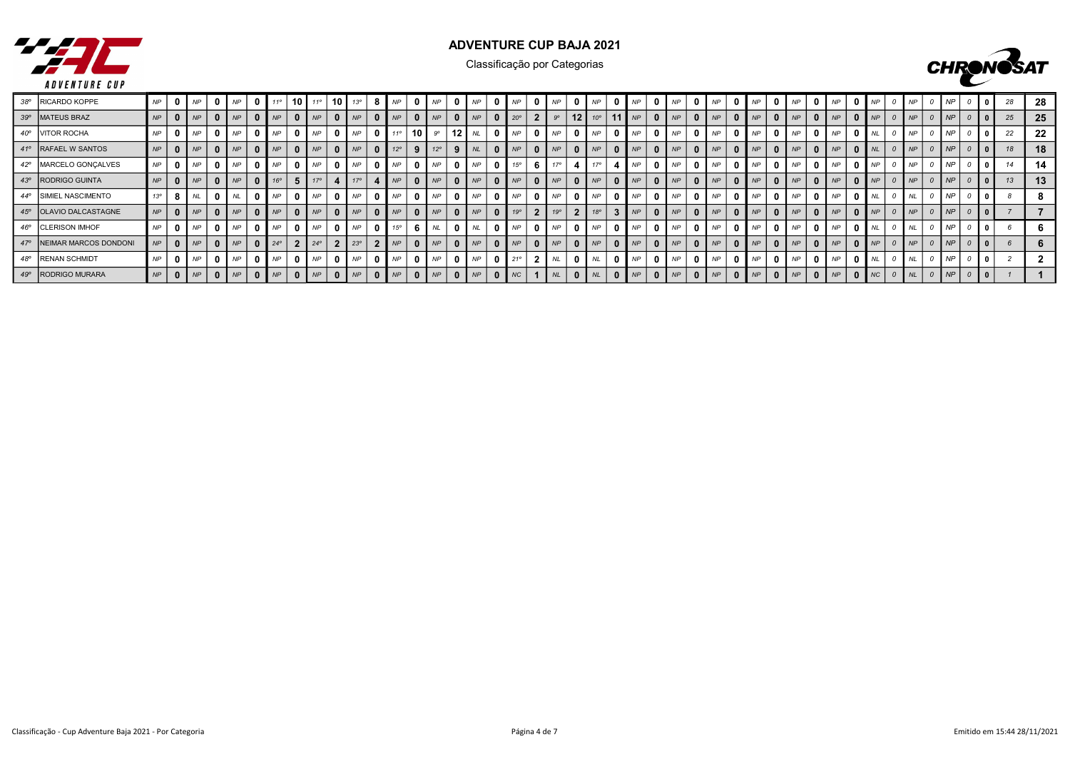



| 38° RICARDO KOPPE         | <b>NP</b>       |   | <b>NP</b> | $01$ NP          | 11°            | 10 | $11^{\circ}$ | 10 | $13^\circ$ |              | <b>NP</b>    | $\cdot$ I NP $\cdot$             | 0            | <b>NP</b>        |                         | NP             |                | <b>NP</b>  | <b>NP</b> |                               | <b>NP</b> |              | <b>NP</b> |                |             |          | <b>NP</b>   |              |           |                           | <b>NP</b>      |              | NP        |                |           |  |    | -28 |
|---------------------------|-----------------|---|-----------|------------------|----------------|----|--------------|----|------------|--------------|--------------|----------------------------------|--------------|------------------|-------------------------|----------------|----------------|------------|-----------|-------------------------------|-----------|--------------|-----------|----------------|-------------|----------|-------------|--------------|-----------|---------------------------|----------------|--------------|-----------|----------------|-----------|--|----|-----|
| 39° MATEUS BRAZ           | NP              |   | NP        | $0 \mid NP \mid$ | NP             |    | NP           |    | NP         |              | NP           | $\cdot$   NP                     | $\mathbf{0}$ | NP               | $\mathbf{0}$            | $20^{\circ}$   | 2 <sub>1</sub> | $9^\circ$  |           | 12 $10^{\circ}$   11 $\mu$ NP |           | $\mathbf{0}$ | NP        |                | $0 \mid NP$ |          | NP          | $\mathbf{0}$ | NP        |                           | $0 \mid NP$    | $\Omega$     | NP        | NP             | NP        |  | 25 | 25  |
| 40°   VITOR ROCHA         | <b>NP</b>       |   | <b>NP</b> | $0 \mid NP$      | N <sub>P</sub> |    | NP           |    | <b>NP</b>  |              | 110          | $10$ $9^\circ$                   |              | $12$ $NL$        | $\overline{\mathbf{0}}$ | NP             | $\mathbf{0}$   | NP         | NP        | 0                             | <b>NP</b> |              | <b>NP</b> |                | <b>NP</b>   |          | NP          | 0            | <b>NP</b> | $\mathbf{0}$              | NP             | $\mathbf{0}$ | <b>NL</b> |                | <b>NP</b> |  | 22 | 22  |
| 41° RAFAEL W SANTOS       | NP              |   | NP        | NP               | NP             |    | <b>NP</b>    |    | <b>NP</b>  | $\mathbf{0}$ | $12^{\circ}$ | $12^{\circ}$                     | 9            | $N_{L}$          | $\mathbf{0}$            | NP             | $\mathbf{0}$   | NP         | NP        | $\bf{0}$                      | <b>NP</b> | $\mathbf{0}$ | <b>NP</b> | 0 <sup>1</sup> | NP          | $\bf{0}$ | NP          | $\mathbf{0}$ | NP        | $\overline{\mathbf{0}}$ l | NP             | $\mathbf{0}$ | NL        | N <sub>P</sub> | NP        |  |    | 18  |
| 42°   MARCELO GONÇALVES   | NP              |   | <b>NP</b> | <b>NP</b>        | <b>NP</b>      |    | <b>NP</b>    |    | <b>NP</b>  |              | NP           | <b>NP</b>                        | $\mathbf{0}$ | N P              | $^{\circ}$              | $1.5^\circ$    |                | 470        | 170       |                               | <b>NP</b> | - 0          | <b>NP</b> |                | <b>NP</b>   |          | NP          |              | <b>NP</b> | $\mathbf{a}$              | <b>NP</b>      |              | <b>NP</b> | <b>NP</b>      | <b>NP</b> |  |    | 14  |
| 43° RODRIGO GUINTA        | NP              |   | <b>NP</b> | NP               | $16^\circ$     |    |              |    | 17°        |              | NP           | NP                               | $\mathbf{0}$ | NP               | $\Omega$                | NP             | $\mathbf{r}$   | NP         | NP        | $\Omega$                      | NP        | $\mathbf{a}$ | <b>NP</b> | 0 <sup>1</sup> | NP          |          | NP          | $\Omega$     | <b>NP</b> | n I                       | NP             |              | <b>NP</b> | <b>NP</b>      | <b>NP</b> |  |    | 13  |
| 44° SIMIEL NASCIMENTO     | 13 <sup>o</sup> | 8 | NL        |                  | <b>NP</b>      |    | <b>NP</b>    |    | NP         |              | <b>NP</b>    | NP                               | 0            | NP               | $\mathbf{0}$            | N <sub>P</sub> | $\mathbf{0}$   | NP         | NP        |                               | <b>NP</b> |              | <b>NP</b> |                | NP          |          | NP          |              | <b>NP</b> | $\mathbf{0}$              | NP             |              | <b>NL</b> |                | NP        |  |    |     |
| 45° OLAVIO DALCASTAGNE    | NP              |   | NP        | $0$   $NP$       | NP             |    | NP           |    | NP         |              | NP           | NP                               | $\bf{0}$     | NP               | $\mathbf{0}$            | $19^\circ$     | $\overline{2}$ | $19^\circ$ | 18°       |                               | <b>NP</b> |              | NP        |                | NP          |          | NP          | $\mathbf{0}$ | NP        |                           | $01$ $NP2$     |              | NP        | NP             | NP        |  |    |     |
| 46° CLERISON IMHOF        | <b>NP</b>       |   | <b>NP</b> | N                | NP             |    | <b>NP</b>    |    | NP         |              | $15^{\circ}$ | N                                |              | $0$ $N$          | $\overline{\mathbf{0}}$ | NP             |                | NP         | NP        |                               | <b>NP</b> |              | <b>NP</b> |                | <b>NP</b>   |          | NP          | 0            | <b>NP</b> | $\Omega$                  | NP             | $\mathbf{0}$ | I NL      | <b>NL</b>      | <b>NP</b> |  |    |     |
| 47° NEIMAR MARCOS DONDONI |                 |   | NP        | $0 \mid NP$      | $24^{\circ}$   |    | $24^\circ$   |    | $23^\circ$ |              |              | $\blacksquare$ NP $\blacksquare$ |              | $0 \mid NP$      | $\overline{0}$          | NP             |                | NP         | NP        |                               | <b>NP</b> |              | <b>NP</b> |                | NP          |          | NP          | $\mathbf{0}$ | NP        |                           | $01$ NP        |              | NP        | NP             | NP        |  |    |     |
| 48° RENAN SCHMIDT         | <b>NP</b>       |   | <b>NP</b> | $01$ $NP2$       | NP             |    | <b>NP</b>    |    | <b>NP</b>  |              | NP           | NP                               |              | $0 \mid NP \mid$ | $\overline{0}$          | $21^\circ$     |                | <b>NL</b>  | <b>NL</b> |                               | NP        |              | <b>NP</b> |                | <b>NP</b>   |          | $0 \mid NP$ | $\mathbf{0}$ | <b>NP</b> | $\overline{0}$            | N <sub>P</sub> |              | <b>NL</b> |                | <b>NF</b> |  |    |     |
| 49°   RODRIGO MURARA      | NP              |   | NP        | 0   NP           | NP             |    | NP           |    | NP         | $\mathbf{0}$ | NP           | $0 \mid NP$                      |              | $0 \mid NP$      | $\mathbf{0}$            | NC             |                | NL         | NL N      |                               | NP        | $\mathbf{0}$ | <b>NP</b> | $\overline{0}$ | NP          |          | $0 \mid NP$ | $\mathbf{0}$ | NP        |                           | $0$   $NP$     |              | NC        | NL N           | NP        |  |    |     |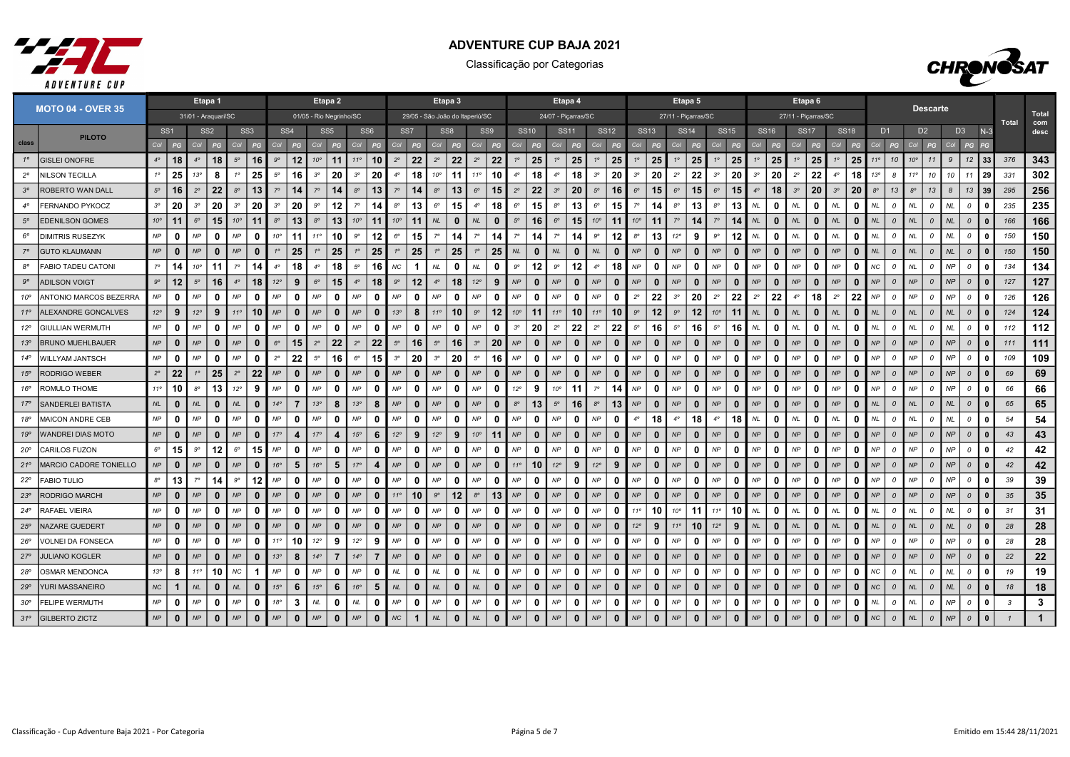



|              | <b>MOTO 04 - OVER 35</b>  | Etapa 1                                               |                |              |              |              |                 |                 |                 |                         | Etapa 2        |              |                 |                 |                                 |              | Etapa 3      |              |              |              |              |              | Etapa 4             |              |              |              |              | Etapa 5        |                     |              |              |                    |                     | Etapa 6      |             |                |                 |                |                | <b>Descarte</b>    |           |                |              |              |              |
|--------------|---------------------------|-------------------------------------------------------|----------------|--------------|--------------|--------------|-----------------|-----------------|-----------------|-------------------------|----------------|--------------|-----------------|-----------------|---------------------------------|--------------|--------------|--------------|--------------|--------------|--------------|--------------|---------------------|--------------|--------------|--------------|--------------|----------------|---------------------|--------------|--------------|--------------------|---------------------|--------------|-------------|----------------|-----------------|----------------|----------------|--------------------|-----------|----------------|--------------|--------------|--------------|
|              |                           | 31/01 - Araquari/SC                                   |                |              |              |              |                 |                 |                 | 01/05 - Rio Negrinho/SC |                |              |                 |                 | 29/05 - São João do Itaperiú/SC |              |              |              |              |              |              |              | 24/07 - Piçarras/SC |              |              |              |              |                | 27/11 - Piçarras/SC |              |              |                    | 27/11 - Piçarras/SC |              |             |                |                 |                |                |                    |           |                |              | Total        | Total<br>com |
|              | <b>PILOTO</b>             | SS <sub>1</sub><br>SS <sub>3</sub><br>SS <sub>2</sub> |                |              |              |              | SS <sub>4</sub> |                 | SS <sub>5</sub> |                         | SS6            |              | SS <sub>7</sub> |                 | SS <sub>8</sub>                 |              | SS9          |              | <b>SS10</b>  |              | <b>SS11</b>  |              | <b>SS12</b>         |              | <b>SS13</b>  | <b>SS14</b>  |              | <b>SS15</b>    |                     | <b>SS16</b>  |              | <b>SS17</b>        |                     | <b>SS18</b>  |             | D <sub>1</sub> |                 | D <sub>2</sub> | D <sub>3</sub> |                    | $N-3$     |                | desc         |              |              |
| class        |                           | Col                                                   | PG             |              |              | Col          | PG              | Col             |                 |                         | PG             |              |                 |                 | PG                              | Co.          |              | Col          | PG           |              |              | Col          | PG                  | Col          | PG           |              |              | Co             | PG                  | Col          | PG           |                    |                     | PG           | Col         | PG             |                 |                | Co             | PG                 | Col       | PG             |              |              |              |
| $1^\circ$    | <b>GISLEI ONOFRE</b>      | $4^\circ$                                             | 18             | $4^\circ$    | 18           | $5^\circ$    | 16              | $9^\circ$       | 12              | $10^{\circ}$            | 11             | 110          | 10              | $2^{\circ}$     | 22                              | $2^{\circ}$  | 22           | $2^{\circ}$  | 22           |              | 25           | $1^{\circ}$  | 25                  | $1^{\circ}$  | 25           |              | 25           | 1 <sup>c</sup> | 25                  | $1^{\circ}$  | 25           | 25<br>$1^\circ$    | $1^\circ$           | 25           | $1^{\circ}$ | 25             | 110             | 10             | $10^{\circ}$   | 11                 | 9         | 12             | 33           | 376          | 343          |
| $2^{\circ}$  | <b>NILSON TECILLA</b>     | $1^{\circ}$                                           | 25             | 13°          | 8            |              | 25              | $5^\circ$       | 16              | $3^{\circ}$             | 20             | $3^{\circ}$  | 20              | $4^\circ$       | 18                              | $10^{\circ}$ | 11           | $11^{\circ}$ | 10           | $4^\circ$    | 18           | $4^\circ$    | 18                  | $3^{\circ}$  | 20           | $3^{\circ}$  | 20           | $2^{\circ}$    | 22                  | $3^{\circ}$  | 20<br>30     | 20                 | $2^{\circ}$         | 22           | $4^\circ$   | 18             | 13 <sup>o</sup> | -8             | $11^{\circ}$   | 10                 | 10        | 11             | 29           | 331          | 302          |
| $3^{\circ}$  | <b>ROBERTO WAN DALL</b>   | $5^{\circ}$                                           | 16             | $2^{\circ}$  | 22           | $8^{\circ}$  | 13              | $7^\circ$       | 14              | $7^\circ$               | 14             | $8^{\circ}$  | 13              | $7^\circ$       | 14                              | $8^{\circ}$  | 13           | $6^{\circ}$  | 15           | $2^{\circ}$  | 22           | $3^{\circ}$  | 20                  | $5^{\circ}$  | 16           | $6^{\circ}$  | 15           | $6^{\circ}$    | 15                  | $6^{\circ}$  | 15           | 18<br>$4^{\circ}$  | $3^{\circ}$         | 20           | $3^{\circ}$ | 20             | $8^{\circ}$     | 13             | $8^{\circ}$    | 13                 | 8         | 13             | 39           | 295          | 256          |
| $4^\circ$    | <b>FERNANDO PYKOCZ</b>    | $3^{\circ}$                                           | 20             | $3^{\circ}$  | 20           | $3^{\circ}$  | 20              | $3^{\circ}$     | 20              | $9^{\circ}$             | 12             | $7^\circ$    | 14              | $8^{\circ}$     | 13                              | $6^{\circ}$  | 15           | $4^\circ$    | 18           | $6^{\circ}$  | 15           | $8^{\circ}$  | 13                  | $6^{\circ}$  | 15           |              | 14           | $8^{\circ}$    | 13                  | $8^{\circ}$  | 13<br>$N\!L$ | 0                  | NL                  | $\mathbf{0}$ | <b>NL</b>   | 0              | NL              | 0              | <b>NL</b>      | $\mathcal{O}$      | NL        | $\Omega$       |              | 235          | 235          |
| $5^\circ$    | <b>EDENILSON GOMES</b>    | $10^{\circ}$                                          | 11             | $6^{\circ}$  | 15           | $10^{\circ}$ | 11              | $8^{\circ}$     | 13              | $8^{\circ}$             | 13             | $10^{\circ}$ | 11              | $10^{\circ}$    | 11                              | NL           | 0            | NL           | $\bf{0}$     | $5^\circ$    | 16           | $6^{\circ}$  | 15                  | $10^{\circ}$ | 11           | $10^{\circ}$ | 11           | $7^\circ$      | 14                  | $7^\circ$    | 14<br>NL     | $\mathbf{0}$       | NL                  | $\mathbf{0}$ | NL          | 0              | NL              | $\mathcal{O}$  | <b>NL</b>      | $\mathcal O$       | NL        | $\mathcal{O}$  |              | 166          | 166          |
| $6^{\circ}$  | DIMITRIS RUSEZYK          | $\mathsf{NP}$                                         | 0              | <b>NP</b>    | n            | NP           | 0               | 10 <sup>o</sup> | 11              | $11^{\circ}$            | 10             | $9^{\circ}$  | 12              | $6^{\circ}$     | 15                              | $7^\circ$    | 14           | $7^\circ$    | 14           | 70           | 14           | $7^\circ$    | 14                  | 9°           | 12           | $8^{\circ}$  | 13           | $12^{\circ}$   | 9                   | $9^{\circ}$  | 12<br>NL     | $\mathbf{0}$       | <b>NL</b>           | 0            | $N\!L$      | n              | <b>NL</b>       | $\Omega$       | <b>NL</b>      | $\mathcal{O}$      | <b>NL</b> | $\mathcal{O}$  | - 0          | 150          | 150          |
|              | <b>GUTO KLAUMANN</b>      | NP                                                    | $\mathbf 0$    | NP           | $\mathbf{0}$ | NP           | $\mathbf{0}$    |                 | 25              | 1 <sup>°</sup>          | 25             |              | 25              | $1^{\circ}$     | 25                              | $1^{\circ}$  | 25           | $1^{\circ}$  | 25           | NL           | $\bf{0}$     | <b>NL</b>    | $\mathbf{0}$        | NL           | $\mathbf{0}$ | <b>NP</b>    | $\bf{0}$     | NP             | $\mathbf{0}$        | NP           | $\mathbf{0}$ | NP<br>$\mathbf{0}$ | NP                  | $\mathbf{0}$ | NP          | $\bf{0}$       | NL              | $\Omega$       | <b>NL</b>      | $\Omega$           | NL.       | $\Omega$       |              | 150          | 150          |
| $8^{\circ}$  | <b>FABIO TADEU CATONI</b> | $7^\circ$                                             | 14             | $10^{\circ}$ | 11           |              | 14              | $4^\circ$       | 18              | $4^\circ$               | 18             | $5^{\circ}$  | 16              | NС              | -1                              | NL           | 0            | $N\!L$       | $\mathbf{0}$ | $9^{\circ}$  | 12           | $9^{\circ}$  | 12                  | $4^\circ$    | 18           | NP           | 0            | <b>NP</b>      | $\Omega$            | NP           | $\mathbf{0}$ | NP<br>0            | NP                  | 0            | NP          | 0              | NС              | $\Omega$       | <b>NL</b>      | 0                  | NP        | $\mathcal{O}$  | $\Omega$     | 134          | 134          |
| $9^{\circ}$  | <b>ADILSON VOIGT</b>      | $9^{\circ}$                                           | 12             | $5^\circ$    | 16           | $4^\circ$    | 18              | $12^{\circ}$    | 9               | $6^{\circ}$             | 15             | $4^\circ$    | 18              | $9^{\circ}$     | 12                              | $4^\circ$    | 18           | $12^{\circ}$ | 9            | NP           | $\mathbf{0}$ | NP           | $\mathbf{0}$        | NP           | $\mathbf{0}$ | <b>NP</b>    | n            | NP             | $\Omega$            | <b>NP</b>    | $\mathbf{0}$ | NP<br>$\bf{0}$     | NP                  | $\mathbf{0}$ | <b>NP</b>   | $\Omega$       | NP              | $\Omega$       | NP             | $\Omega$           | NP        | $\mathcal{O}$  |              | 127          | 127          |
| 10°          | ANTONIO MARCOS BEZERRA    | NP                                                    | $\mathbf 0$    | NP           | $\bf{0}$     | NP           | 0               | NP              | $\mathbf 0$     | NP                      | 0              | NP           | 0               | NP              | $\mathbf{0}$                    | NP           | $\mathbf 0$  | NP           | 0            | NP           | 0            | NP           | $\mathbf 0$         | NP           | 0            | $2^{\circ}$  | 22           | $3^{\circ}$    | 20                  | $2^{\circ}$  | 22           | 22<br>$2^{\circ}$  | $4^\circ$           | 18           | $2^{\circ}$ | 22             | NP              | $\mathcal O$   | NP             | $\mathcal O$       | NP        | $\mathcal{O}$  |              | 126          | 126          |
| $11^{\circ}$ | ALEXANDRE GONCALVES       | $12^{\circ}$                                          | 9              | $12^{\circ}$ | 9            | $11^{\circ}$ | 10              | NP              | $\bf{0}$        | NP                      | 0              | NP           | $\mathbf{0}$    | 13 <sup>o</sup> | 8                               | $11^{\circ}$ | 10           | $9^\circ$    | 12           | $10^{\circ}$ | 11           | $11^{\circ}$ | 10                  | $11^{\circ}$ | 10           | $9^{\circ}$  | 12           | $9^{\circ}$    | 12                  | $10^{\circ}$ | 11<br>NL     | $\mathbf{0}$       | NL                  | $\mathbf{0}$ | NL          | $\bf{0}$       | NL              | $\Omega$       | <b>NL</b>      | $\mathcal{O}$      | NL        | $\Omega$       |              | 124          | 124          |
| $12^{\circ}$ | <b>GIULLIAN WERMUTH</b>   | $\mathsf{NP}$                                         | $\mathbf 0$    | NP           | 0            | <b>NP</b>    | 0               | NP              | 0               | NP                      | 0              | NP           | n               | NP              | $\mathbf{0}$                    | NP           | 0            | NP           | 0            | $3^{\circ}$  | 20           | $2^{\circ}$  | 22                  | $2^{\circ}$  | 22           | $5^\circ$    | 16           | $5^{\circ}$    | 16                  | $5^{\circ}$  | 16           | NL<br>0            | <b>NL</b>           | $\mathbf{0}$ | <b>NL</b>   | 0              | NL              | - 0            | <b>NL</b>      | $\mathcal{O}$      | NL        | $\overline{a}$ |              | 112          | 112          |
| 13°          | <b>BRUNO MUEHLBAUER</b>   | NP                                                    | $\mathbf{0}$   | NP           | $\mathbf{0}$ | NP           | $\mathbf{0}$    | $6^{\circ}$     | 15              | $2^{\circ}$             | 22             | $2^{\circ}$  | 22              | $5^\circ$       | 16                              | $5^{\circ}$  | 16           | $3^{\circ}$  | 20           | NP           | $\mathbf{0}$ | NP           | $\mathbf{0}$        | NP           | $\mathbf{0}$ | NP           | $\mathbf{0}$ | NP             | $\mathbf{0}$        | NP           | $\bf{0}$     | NP<br>$\mathbf{0}$ | NP                  | $\mathbf{0}$ | <b>NP</b>   | $\bf{0}$       | NP              | $\overline{0}$ | NP             | $\mathcal{O}$      | NP        | $\mathcal{O}$  | $\Omega$     | 111          | 111          |
| 14°          | WILLYAM JANTSCH           | NP                                                    | 0              | <b>NP</b>    | n            | <b>NP</b>    | $\Omega$        | $2^{\circ}$     | 22              | $5^\circ$               | 16             | $6^{\circ}$  | 15              | $3^{\circ}$     | 20                              | $3^{\circ}$  | 20           | $5^\circ$    | 16           | <b>NP</b>    | 0            | <b>NP</b>    | $\mathbf{0}$        | NP           | $\mathbf{0}$ | NP           | 0            | NP             | $\Omega$            | NP           | O            | NP<br>$\mathbf{0}$ | NP                  | $\mathbf{0}$ | <b>NP</b>   | n              | NP              | $\Omega$       | <b>NP</b>      | 0                  | NP        | $\mathcal{O}$  |              | 109          | 109          |
| $15^{\circ}$ | <b>RODRIGO WEBER</b>      | $2^{\circ}$                                           | 22             | $1^{\circ}$  | 25           | $2^{\circ}$  | 22              | NP              | $\mathbf{0}$    | NP                      | $\bf{0}$       | NP           | $\mathbf{0}$    | NP              | $\mathbf{0}$                    | NP           | $\mathbf 0$  | NP           | $\bf{0}$     | NP           | $\mathbf{0}$ | NP           | $\mathbf{0}$        | NP           | $\mathbf{0}$ | NP           | $\Omega$     | NP             | $\mathbf{0}$        | NP           | $\mathbf{0}$ | NP<br>$\bf{0}$     | NP                  | $\mathbf{0}$ | NP          | $\bf{0}$       | NP              | $\Omega$       | NP             | $\Omega$           | NP        | $\mathcal{O}$  | $\Omega$     | 69           | 69           |
| 16°          | ROMULO THOME              | $11^{\circ}$                                          | 10             | $8^{\circ}$  | 13           | $12^{\circ}$ | 9               | <b>NP</b>       | 0               | NP                      | 0              | NP           | - 0             | NP              | $\Omega$                        | NP           | $\mathbf{0}$ | <b>NP</b>    | $\mathbf{0}$ | $12^{\circ}$ | 9            | $10^{\circ}$ | 11                  | $7^\circ$    | 14           | NP           | 0            | NP             | $\mathbf{0}$        | NP           | $\mathbf{0}$ | NP<br>$\mathbf{0}$ | NP                  | 0            | NP          | <sup>0</sup>   | NP              | $\mathcal{O}$  | NP             | $\mathcal{O}$      | NP        | $\mathcal{O}$  | $\Omega$     | 66           | 66           |
| 17°          | <b>SANDERLEI BATISTA</b>  | $N\!L$                                                | $\mathbf{0}$   | NL           | $\mathbf{0}$ | NL           | $\mathbf{0}$    | $14^{\circ}$    | 7               | 13°                     | 8              | 13°          | 8               | NP              | $\mathbf{0}$                    | NP           | $\Omega$     | NP           | $\bf{0}$     | $8^{\circ}$  | 13           | $5^{\circ}$  | 16                  | $8^{\circ}$  | 13           | NP           | 0            | NP             | $\mathbf{0}$        | NP           | $\mathbf{0}$ | NP<br>$\bf{0}$     | NP                  | $\mathbf{0}$ | <b>NP</b>   | $\bf{0}$       | NL              | $\Omega$       | <b>NL</b>      | $\Omega$           | NL        | $\mathcal{O}$  |              | 65           | 65           |
| 18°          | MAICON ANDRE CEB          | NP                                                    | 0              | NP           | 0            | NP           | 0               | <b>NP</b>       | 0               | NP                      | $\Omega$       | <b>NP</b>    | $\Omega$        | NP              | $\mathbf{0}$                    | NP           | 0            | NP           | <sup>0</sup> | NP           | 0            | <b>NP</b>    | 0                   | NP           | $\mathbf 0$  | $4^\circ$    | 18           | $4^\circ$      | 18                  | $4^\circ$    | 18           | NL<br>$\mathbf{0}$ | NL                  | $\mathbf{0}$ | $N\!L$      | 0              | NL              | $\overline{a}$ | <b>NL</b>      | $\mathcal{O}$      | <b>NL</b> | $\Omega$       | $\Omega$     | 54           | 54           |
| 19°          | <b>WANDREI DIAS MOTO</b>  | $\mathsf{NP}$                                         | $\mathbf 0$    | <b>NP</b>    | $\mathbf{0}$ | <b>NP</b>    | $\mathbf{0}$    | 17°             | 4               | 17°                     | 4              | 15°          | 6               | $12^{\circ}$    | 9                               | $12^{\circ}$ | 9            | $10^{\circ}$ | 11           | NP           | 0            | NP           | $\mathbf{0}$        | NP           | $\mathbf{0}$ | NP           | $\bf{0}$     | NP             | $\mathbf{0}$        | NP           | 0            | NP<br>$\Omega$     | NP                  | $\mathbf{0}$ | NP          | $\bf{0}$       | NP              | $\overline{a}$ | NP             | $\mathcal{O}$      | NP        | $\mathcal{O}$  | $\Omega$     | 43           | 43           |
| $20^{\circ}$ | <b>CARILOS FUZON</b>      | $6^{\circ}$                                           | 15             | $9^{\circ}$  | 12           | $6^{\circ}$  | 15              | NP              | $\mathbf 0$     | NP                      | 0              | NP           | 0               | NP              | $\mathbf{0}$                    | NP           | 0            | NP           | 0            | NP           | 0            | NP           | $\mathbf 0$         | NP           | 0            | NP           | 0            | NP             | $\mathbf{0}$        | NP           | $\mathbf{0}$ | NP<br>0            | NP                  | 0            | NP          | 0              | NP              | $\overline{a}$ | NP             | $\mathcal{O}$      | <b>NP</b> | 0              |              | 42           | 42           |
| $21^{\circ}$ | MARCIO CADORE TONIELLO    | NP                                                    | $\mathbf{0}$   | NP           | $\bf{0}$     | NP           | $\mathbf{0}$    | 16°             | 5               | 16°                     | 5              | 17°          | Δ               | NP              | $\mathbf{0}$                    | NP           | $\mathbf{0}$ | NP           | $\bf{0}$     | $11^{\circ}$ | 10           | $12^{\circ}$ | 9                   | $12^{\circ}$ | 9            | <b>NP</b>    | $\bf{0}$     | NP             | $\mathbf{0}$        | <b>NP</b>    | $\mathbf{0}$ | NP<br>$\Omega$     | NP                  | $\mathbf{0}$ | <b>NP</b>   | $\bf{0}$       | <b>NP</b>       | $\Omega$       | NP             | $\Omega$           | <b>NP</b> | $\Omega$       | $\Omega$     | 42           | 42           |
| $22^{\circ}$ | <b>FABIO TULIO</b>        | $8^{\circ}$                                           | 13             | $7^\circ$    | 14           | <b>go</b>    | 12              | NP              | 0               | $\mathsf{NP}$           | $\Omega$       | NP           | $\Omega$        | NP              | $\mathbf{0}$                    | NP           | $\mathbf 0$  | NP           | 0            | NP           | 0            | NP           | 0                   | NP           | $\mathbf 0$  | NP           | 0            | NP             | $\Omega$            | NP           | $\mathbf{0}$ | NP<br>0            | NP                  | 0            | NP          | 0              | NP              | $\overline{a}$ | NP             | $\mathcal{O}$      | <b>NP</b> | $\mathcal{O}$  |              | 39           | 39           |
| $23^{\circ}$ | <b>RODRIGO MARCHI</b>     | NP                                                    | $\mathbf{0}$   | NP           | $\mathbf{0}$ | NP           | $\mathbf{0}$    | NP              | $\mathbf{0}$    | NP                      | $\Omega$       | NP           | $\mathbf{0}$    | $11^{\circ}$    | 10                              | $9^{\circ}$  | 12           | $8^{\circ}$  | 13           | NP           | $\mathbf{0}$ | NP           | $\mathbf{0}$        | NP           | $\mathbf{0}$ | NP           | $\Omega$     | NP             | $\mathbf{0}$        | NP           | $\mathbf{0}$ | NP<br>$\Omega$     | NP                  | $\mathbf{0}$ | <b>NP</b>   | $\bf{0}$       | NP              | $\overline{0}$ | NP             | $\Omega$           | NP        | $\mathcal{O}$  |              | 35           | 35           |
| $24^{\circ}$ | <b>RAFAEL VIEIRA</b>      | NP                                                    | $\mathbf{0}$   | NP           | 0            | NP           | 0               | <b>NP</b>       | 0               | NP                      | 0              | NP           | 0               | NP              | $\Omega$                        | NP           | 0            | NP           | <sup>0</sup> | NP           | 0            | <b>NP</b>    | 0                   | NP           | 0            | $11^{\circ}$ | 10           | $10^{\circ}$   | 11                  | $11^{\circ}$ | 10           | NL<br>0            | NL                  | $\mathbf{0}$ | $N\!L$      | 0              | NL              | - 0            | <b>NL</b>      | $\mathcal{O}$      | NL.       | $\Omega$       |              | 31           | 31           |
| $25^{\circ}$ | <b>NAZARE GUEDERT</b>     | NP                                                    | $\mathbf{0}$   | NP           | $\mathbf{0}$ | NP           | $\mathbf{0}$    | NP              | $\bf{0}$        | NP                      | $\bf{0}$       | NP           | $\bf{0}$        | NP              | $\bf{0}$                        | NP           | $\mathbf 0$  | NP           | $\bf{0}$     | NP           | $\mathbf{0}$ | NP           | $\mathbf{0}$        | NP           | $\mathbf{0}$ | 12°          | 9            | $11^{\circ}$   | 10                  | $12^{\circ}$ | 9<br>NL      | $\mathbf{0}$       | NL                  | $\mathbf{0}$ | NL          | $\bf{0}$       | NL              | $\mathcal{O}$  | <b>NL</b>      | $\mathcal{O}$      | <b>NL</b> | $\mathcal{O}$  |              | 28           | 28           |
| $26^{\circ}$ | VOLNEI DA FONSECA         | NP                                                    | 0              | NP           | 0            | NP           | 0               | $11^{\circ}$    | 10              | 12°                     | 9              | $12^{\circ}$ | .9              | NP              | $\Omega$                        | NP           | 0            | NP           | n            | NP           | 0            | <b>NP</b>    | 0                   | NP           | 0            | NP           | 0            | NP             | $\Omega$            | NP           | $\mathbf{0}$ | NP<br>n            | NP                  | 0            | <b>NP</b>   | 0              | NP              | $\Omega$       | NP             | $\mathcal{O}$      | NP        | $\mathcal O$   | n            | 28           | 28           |
| $27^{\circ}$ | <b>JULIANO KOGLER</b>     | NP                                                    | $\mathbf{0}$   | NP           | $\mathbf{0}$ | NP           | $\mathbf{0}$    | 13 <sup>o</sup> | 8               | $14^{\circ}$            | $\overline{7}$ | $14^\circ$   | 7               | NP              | $\mathbf{0}$                    | NP           | $\bf{0}$     | NP           | $\bf{0}$     | NP           | $\mathbf{0}$ | NP           | $\mathbf{0}$        | NP           | $\mathbf 0$  | NP           | 0            | NP             | $\mathbf{0}$        | NP           | $\mathbf{0}$ | NP<br>$\mathbf{0}$ | NP                  | $\mathbf{0}$ | NP          | $\bf{0}$       | NP              | $\Omega$       | NP             | $\Omega$           | NP        | $\mathcal{O}$  |              | 22           | 22           |
| $28^{\circ}$ | <b>OSMAR MENDONCA</b>     | 13°                                                   | 8              | 110          | 10           | NС           | -1              | <b>NP</b>       | 0               | NP                      | $\mathbf{0}$   | NP           | O               | $N\!L$          | $\Omega$                        | NL           | 0            | $N\!L$       | <sup>0</sup> | NP           | 0            | <b>NP</b>    | 0                   | NP           | $\mathbf{0}$ | <b>NP</b>    | 0            | NP             | $\Omega$            | NP           | $\mathbf{0}$ | NP<br>$\mathbf{0}$ | NP                  | 0            | <b>NP</b>   | <sup>0</sup>   | NС              | $\Omega$       | $N\!L$         | $\mathcal{O}$      | NL        | $\mathcal{O}$  | $\Omega$     | 19           | 19           |
| $29^\circ$   | YURI MASSANEIRO           | NC                                                    | $\overline{1}$ | NL           | $\mathbf{0}$ | <b>NL</b>    | $\mathbf{0}$    | 15°             | 6               | 15°                     | 6              | 16°          | 5               | NL              | $\mathbf{0}$                    | NL           | $\mathbf 0$  | NL           | $\bf{0}$     | NP           | $\mathbf{0}$ | NP           | $\mathbf{0}$        | NP           | $\bf{0}$     | NP           | $\bf{0}$     | NP             | $\mathbf{0}$        | NP           | $\mathbf{0}$ | NP<br>$\bf{0}$     | NP                  | $\mathbf{0}$ | <b>NP</b>   | $\bf{0}$       | NC              | $\overline{a}$ | <b>NL</b>      | $\mathcal{O}$      | NL        | $\mathcal{O}$  | $\mathbf{0}$ | 18           | 18           |
| $30^{\circ}$ | <b>FELIPE WERMUTH</b>     | NP                                                    | 0              | NP           | 0            | NP           | 0               | 18°             | 3               | $N\!L$                  | 0              | NL           | 0               | NP              | $\mathbf{0}$                    | NP           | 0            | NP           | $\bf{0}$     | NP           | $\mathbf{0}$ | NP           | 0                   | NP           | $\mathbf{0}$ | NP           | 0            | NP             | $\mathbf{0}$        | NP           | 0            | NP<br>$\mathbf{0}$ | NP                  | 0            | NP          | 0              | NL              | 0              | <b>NL</b>      | $\mathcal{O}$      | NP        | $\mathcal{O}$  | 0            | $\mathbf{3}$ | 3            |
| $31^\circ$   | <b>GILBERTO ZICTZ</b>     | NP                                                    | $\mathbf{0}$   | NP           | $\mathbf{0}$ | NP           | $\mathbf{0}$    | NP              | $\mathbf{0}$    | NP                      | $\mathbf{0}$   | NP           | $\mathbf{0}$    | NC              | $\mathbf 1$                     | $N\!L$       | $\mathbf{0}$ | $N\!L$       | $\mathbf{0}$ | NP           | $\mathbf{0}$ | NP           | $\mathbf{0}$        | NP           | $\mathbf{0}$ | NP           | $\mathbf{0}$ | NP             | $\mathbf{0}$        | NP           | $\mathbf{0}$ | NP<br>$\mathbf{0}$ | NP                  | $\mathbf{0}$ | NP          | $\mathbf{0}$   | $N\!C$          | $\mathcal{O}$  | $N\!L$         | $\pmb{\mathit{o}}$ | NP        | $\cal O$       | $\mathbf{0}$ |              |              |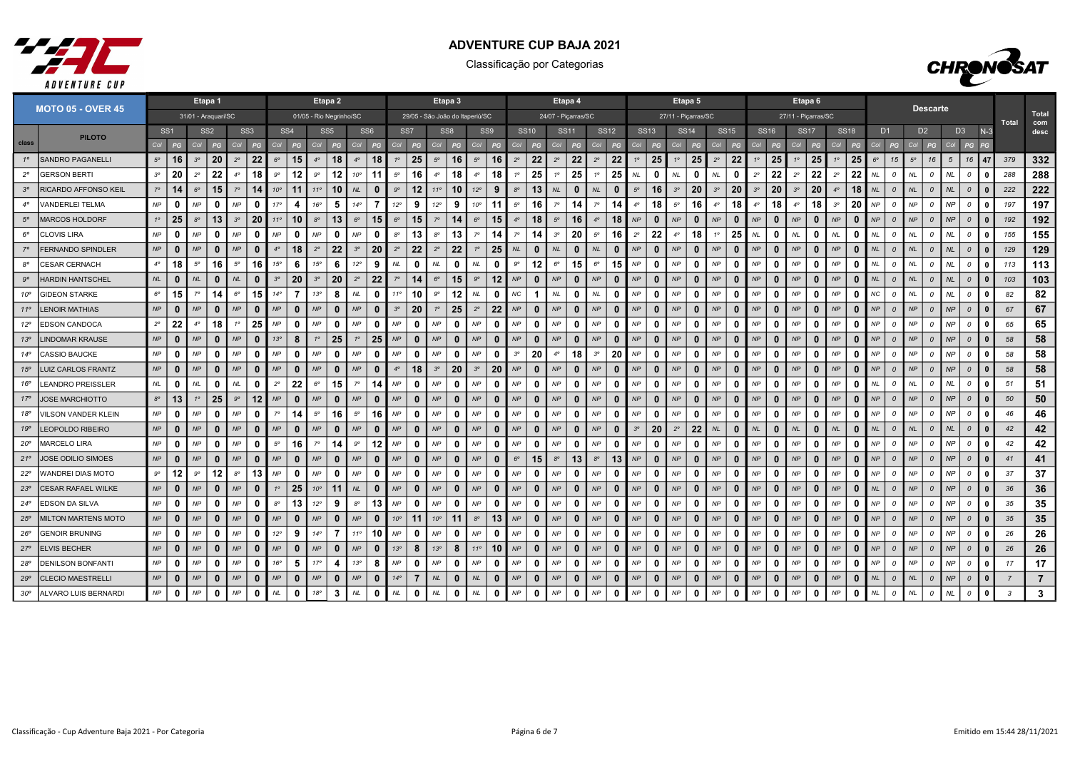



|              |                             |                     |                 |             | Etapa 1         |             |                 |                 |                 |                         | Etapa <sub>2</sub> |              |                 |              |                                 |              | Etapa 3         |              |                 |               |              |                     | Etapa 4      |                            |              |             |              | Etapa 5             |                           |              |             |              | Etapa <sub>6</sub>  |              |             |              |                |                |                |                 |                |                |              |                |                |
|--------------|-----------------------------|---------------------|-----------------|-------------|-----------------|-------------|-----------------|-----------------|-----------------|-------------------------|--------------------|--------------|-----------------|--------------|---------------------------------|--------------|-----------------|--------------|-----------------|---------------|--------------|---------------------|--------------|----------------------------|--------------|-------------|--------------|---------------------|---------------------------|--------------|-------------|--------------|---------------------|--------------|-------------|--------------|----------------|----------------|----------------|-----------------|----------------|----------------|--------------|----------------|----------------|
|              | <b>MOTO 05 - OVER 45</b>    | 31/01 - Araquari/SC |                 |             |                 |             |                 |                 |                 | 01/05 - Rio Negrinho/SC |                    |              |                 |              | 29/05 - São João do Itaperiú/SC |              |                 |              |                 |               |              | 24/07 - Picarras/SC |              |                            |              |             |              | 27/11 - Picarras/SC |                           |              |             |              | 27/11 - Picarras/SC |              |             |              |                |                |                | <b>Descarte</b> |                |                |              | Total          | Total<br>com   |
|              | <b>PILOTO</b>               |                     | SS <sub>1</sub> |             | SS <sub>2</sub> |             | SS <sub>3</sub> |                 | SS <sub>4</sub> |                         | SS <sub>5</sub>    |              | SS <sub>6</sub> |              | SS <sub>7</sub>                 |              | SS <sub>8</sub> |              | SS <sub>9</sub> |               | <b>SS10</b>  | <b>SS11</b>         |              |                            | <b>SS12</b>  | <b>SS13</b> |              | <b>SS14</b>         |                           | <b>SS15</b>  |             | <b>SS16</b>  | <b>SS17</b>         |              | <b>SS18</b> |              | D <sub>1</sub> |                | D <sub>2</sub> |                 | D <sub>3</sub> |                | $N-3$        |                | desc           |
| class        |                             | Col                 | PG              | Col         | PG              | Col         | PG              | Col             | PG              | Col                     | PG                 | Col          | PG              | Col          | PG                              | Col          | PG              | Col          | PG              | Col           | PG           | Col                 | PG           | Col                        | PG           | Col         | PG           | Col                 | PG<br>Col                 | PG           | Col         | PG           | Col                 | PG           | Col         | PG           | Col            | PG             | Col            | PG              | Col            | PG             |              |                |                |
| $1^{\circ}$  | <b>SANDRO PAGANELLI</b>     | $5^{\circ}$         | 16              | $3^{\circ}$ | 20              | $2^{\circ}$ | 22              | $6^{\circ}$     | 15              | $4^\circ$               | 18                 | $4^\circ$    | 18              | $1^{\circ}$  | 25                              | $5^{\circ}$  | 16              | $5^\circ$    | 16              | $2^{\circ}$   | 22           | $2^{\circ}$         | 22           | $2^{\circ}$                | 22           |             | 25           | $1^{\circ}$         | 25<br>$2^{\circ}$         | 22           | $1^{\circ}$ | 25           | $1^\circ$           | 25           | $1^{\circ}$ | 25           | $6^{\circ}$    | 15             | $5^{\circ}$    | 16              | 5 <sup>5</sup> | 16             | 47           | 379            | 332            |
| $2^{\circ}$  | GERSON BERTI                | $3^{\circ}$         | 20              | $2^{\circ}$ | 22              | $4^\circ$   | 18              | $9^{\circ}$     | 12              | $9^{\circ}$             | 12                 | $10^{\circ}$ | 11              | $5^\circ$    | 16                              | $4^\circ$    | 18              | $4^\circ$    | 18              |               | 25           |                     | 25           | 10                         | 25           | NL.         | 0            | <b>NL</b>           | $\Omega$<br>NL            | 0            | $2^{\circ}$ | 22           | $2^{\circ}$         | 22           | $2^{\circ}$ | 22           | NL             | 0              | <b>NL</b>      | 0               | NL             | $\overline{a}$ |              | 288            | 288            |
|              | <b>RICARDO AFFONSO KEIL</b> | $7^\circ$           | 14              | $6^\circ$   | 15              | $7^\circ$   | 14              | 10 <sup>o</sup> | 11              | $11^{\circ}$            | 10                 | <b>NL</b>    | $\Omega$        | $9^{\circ}$  | 12                              | $11^{\circ}$ | 10              | $12^{\circ}$ | 9               | $8^{\circ}$   | 13           | NL                  | $\mathbf{0}$ | NL                         | $\mathbf{0}$ | $5^\circ$   | 16           | $3^{\circ}$         | 20<br>$3^{\circ}$         | 20           | $3^{\circ}$ | 20           | $3^{\circ}$         | 20           | $4^\circ$   | 18           | <b>NL</b>      | $\Omega$       | NL             | $\Omega$        | NL.            | $\Omega$       |              | 222            | 222            |
| $4^\circ$    | VANDERLEI TELMA             | NP                  | $\mathbf{0}$    | <b>NP</b>   | $\mathbf{0}$    | <b>NP</b>   | $\mathbf{0}$    | 17 <sup>c</sup> | 4               | 16°                     | 5.                 | $14^{\circ}$ |                 | 12°          | 9                               | $12^{\circ}$ | 9               | $10^{\circ}$ | -11             | $5^\circ$     | 16           | $7^\circ$           | 14           | $7^\circ$                  | 14           | $4^\circ$   | 18           | $5^{\circ}$         | 16<br>$4^\circ$           | 18           | $4^\circ$   | 18           | $4^\circ$           | 18           | $3^{\circ}$ | 20           | NP             | $\Omega$       | NP             | $\mathcal{O}$   | <b>NP</b>      | $\mathcal{O}$  |              | 197            | 197            |
| $5^\circ$    | <b>MARCOS HOLDORF</b>       | $1^{\circ}$         | 25              | $8^{\circ}$ | 13              | $3^{\circ}$ | 20              | $11^{\circ}$    | 10              | $8^{\circ}$             | 13                 | $6^{\circ}$  | 15              | $6^{\circ}$  | 15                              | $7^{\circ}$  | 14              | $6^{\circ}$  | 15              | $4^\circ$     | 18           | $5^{\circ}$         | 16           | $4^\circ$                  | 18           | NP          | 0            | NP                  | $\mathbf{0}$<br>NP        | $\bf{0}$     | NP          | $\bf{0}$     | NP                  | $\mathbf 0$  | NP          | $\bf{0}$     | NP             | $\Omega$       | NP             | $\Omega$        | NP             | $\mathcal{O}$  |              | 192            | 192            |
| $6^{\circ}$  | <b>CLOVIS LIRA</b>          | NP                  | 0               | NP          | 0               | NP          | $\mathbf{0}$    | NP              | $\Omega$        | NP                      | O                  | <b>NP</b>    | n               | $8^{\circ}$  | 13                              | $8^{\circ}$  | 13              | $7^\circ$    | 14              |               | 14           | $3^{\circ}$         | 20           | $5^\circ$                  | 16           | $2^{\circ}$ | 22           | $4^\circ$           | 18<br>$1^{\circ}$         | 25           | NL          | 0            | NL                  | $\mathbf{0}$ | $N\!L$      | 0            | NL             | $\Omega$       | <b>NL</b>      | 0               | <b>NL</b>      | $\mathcal{O}$  |              | 155            | 155            |
|              | <b>FERNANDO SPINDLER</b>    | NP                  | $\mathbf{0}$    | NP          | $\mathbf{0}$    | NP          | $\mathbf{0}$    | $4^\circ$       | 18              | $2^{\circ}$             | 22                 | $3^{\circ}$  | 20              | $2^{\circ}$  | 22                              | $2^{\circ}$  | 22              | 10           | 25              | NL            | $\mathbf{0}$ | <b>NL</b>           | $\bf{0}$     | NL                         | $\Omega$     | <b>NP</b>   | $\bf{0}$     | NP                  | $\mathbf{0}$<br><b>NP</b> | $\mathbf{0}$ | NP          | $\Omega$     | NP                  | $\mathbf{0}$ | <b>NP</b>   | $\bf{0}$     | <b>NL</b>      | $\Omega$       | <b>NL</b>      | $\Omega$        | NL.            | $\Omega$       |              | 129            | 129            |
| $8^{\circ}$  | <b>CESAR CERNACH</b>        | $4^\circ$           | 18              | $5^{\circ}$ | 16              | $5^\circ$   | 16              | $15^\circ$      | -6              | 15°                     | 6                  | $12^{\circ}$ | -9              | NL           | $\mathbf{0}$                    | <b>NL</b>    | 0               | NL           | 0               | $9^{\circ}$   | 12           | $6^{\circ}$         | 15           | $6^{\circ}$                | 15           | NP          | 0            | NP                  | $\Omega$<br>NP            | $\Omega$     | NP          | $\mathbf{0}$ | NP                  | 0            | <b>NP</b>   | n            | NL             | $\Omega$       | <b>NL</b>      | $\Omega$        | NL             | $\Omega$       |              | 113            | 113            |
| $9^{\circ}$  | <b>HARDIN HANTSCHEL</b>     | NL                  | $\mathbf{0}$    | NL          | $\mathbf{0}$    | NL          | $\mathbf{0}$    | 3 <sup>o</sup>  | 20              | $3^{\circ}$             | 20                 | $2^{\circ}$  | 22              | $7^\circ$    | 14                              | $6^{\circ}$  | 15              | $9^\circ$    | 12              | <b>NP</b>     | $\mathbf{0}$ | NP                  | $\mathbf{0}$ | NP                         | $\mathbf{0}$ | NP          | $\Omega$     | NP                  | $\Omega$<br>NP            | $\mathbf{0}$ | NP          | $\bf{0}$     | NP                  | $\Omega$     | <b>NP</b>   | $\Omega$     | NL             | $\Omega$       | NL             | $\Omega$        | NL             | $\Omega$       | $\Omega$     | 103            | 103            |
| $10^{\circ}$ | <b>GIDEON STARKE</b>        | $6^{\circ}$         | 15              | $7^\circ$   | 14              | $6^{\circ}$ | 15              | $14^{\circ}$    | 7               | 13°                     | 8                  | NL.          | 0               | 110          | 10                              | $9^{\circ}$  | 12              | <b>NL</b>    | 0               | NC            | -1           | $N\!L$              | 0            | NL                         | $\mathbf{0}$ | NP          | 0            | NP                  | $\mathbf{0}$<br>NP        | $\mathbf{0}$ | NP          | $\mathbf{0}$ | NP                  | 0            | <b>NP</b>   | 0            | NС             | $\overline{a}$ | <b>NL</b>      | $\mathcal{O}$   | NL.            | $\Omega$       | - 0          | 82             | 82             |
| $11^{\circ}$ | <b>LENOIR MATHIAS</b>       | NP                  | $\mathbf{0}$    | <b>NP</b>   | $\mathbf{0}$    | <b>NP</b>   | $\mathbf{0}$    | NP              | $\bf{0}$        | NP                      | $\bf{0}$           | <b>NP</b>    | $\mathbf{0}$    | $3^{\circ}$  | 20                              | $1^{\circ}$  | 25              | $2^{\circ}$  | 22              | NP            | $\mathbf{0}$ | NP                  | $\mathbf{0}$ | NP                         | $\bf{0}$     | NP          | $\bf{0}$     | NP                  | NP<br>$\mathbf{0}$        | $\bf{0}$     | NP          | $\Omega$     | NP                  | $\mathbf{0}$ | <b>NP</b>   | $\bf{0}$     | NP             | $\Omega$       | NP             | $\Omega$        | NP             | $\Omega$       |              | 67             | 67             |
| $12^{\circ}$ | <b>EDSON CANDOCA</b>        | $2^{\circ}$         | 22              | $4^\circ$   | 18              |             | 25              | NP              | 0               | NP                      | 0                  | NP           | 0               | NP           | $\Omega$                        | NP           | 0               | NP           | n               | NP            | 0            | NP                  | 0            | NP                         | 0            | NP          | 0            | <b>NP</b>           | NP<br>$\Omega$            | $\mathbf{0}$ | NP          | n            | NP                  | 0            | NP          | 0            | NP             | $\Omega$       | NP             | $\mathcal{O}$   | NP             | $\overline{a}$ |              | 65             | 65             |
| 13°          | <b>LINDOMAR KRAUSE</b>      | NP                  | $\mathbf{0}$    | NP          | $\mathbf{0}$    | NP          | $\mathbf{0}$    | 13 <sup>o</sup> | 8               | 1 <sup>°</sup>          | 25                 | $1^{\circ}$  | 25              | NP           | $\mathbf{0}$                    | NP           | $\mathbf{0}$    | NP           | $\bf{0}$        | NP            | $\mathbf{0}$ | NP                  | $\mathbf{0}$ | NP                         | $\bf{0}$     | NP          | $\bf{0}$     | NP                  | $\mathbf{0}$<br>NP        | $\mathbf{0}$ | NP          | $\mathbf{0}$ | NP                  | $\mathbf{0}$ | NP          | $\bf{0}$     | NP             | $\Omega$       | NP             | $\Omega$        | NP             | $\mathcal{O}$  |              | 58             | 58             |
| $14^{\circ}$ | CASSIO BAUCKE               | NP                  | $\mathbf{0}$    | NP          | $\mathbf{0}$    | NP          | $\mathbf{0}$    | NP              | $\mathbf{0}$    | NP                      | $\mathbf{0}$       | NP           | $\Omega$        | NP           | $\mathbf{0}$                    | NP           | $\mathbf{0}$    | NP           | $\mathbf{0}$    | $3^{\circ}$   | 20           | $4^\circ$           | 18           | $3^{\circ}$                | 20           | NP          | $\mathbf{0}$ | NP                  | $\Omega$<br>NP            | $\mathbf{0}$ | NP          | $\mathbf{0}$ | NP                  | $\mathbf{0}$ | NP          | $\Omega$     | NP             | $\Omega$       | NP             | $\mathcal{O}$   | <b>NP</b>      | $\mathcal{O}$  |              | 58             | 58             |
| 15°          | LUIZ CARLOS FRANTZ          | $\mathsf{NP}$       | $\mathbf{0}$    | NP          | $\mathbf{0}$    | NP          | $\mathbf{0}$    | NP              | $\bf{0}$        | NP                      | $\Omega$           | NP           | $\mathbf{0}$    | $4^\circ$    | 18                              | $3^{\circ}$  | 20              | $3^{\circ}$  | 20              | NP            | $\mathbf{0}$ | NP                  | $\mathbf{0}$ | NP                         | $\mathbf{0}$ | NP          | $\Omega$     | NP                  | $\mathbf{0}$<br>NP        | $\mathbf{0}$ | NP          | $\bf{0}$     | NP                  | $\mathbf{0}$ | <b>NP</b>   | $\bf{0}$     | NP             | $\Omega$       | NP             | $\mathcal{O}$   | NP             | $\mathcal{O}$  |              | 58             | 58             |
| 16°          | <b>LEANDRO PREISSLER</b>    | NL                  | 0               | $N\!L$      | 0               | NL          | 0               | $2^{\circ}$     | 22              | $6^{\circ}$             | 15                 | $7^\circ$    | 14              | NP           | $\Omega$                        | NP           | 0               | NP           | <sup>0</sup>    | NP            | 0            | <b>NP</b>           | 0            | NP                         | - 0          | <b>NP</b>   | 0            | <b>NP</b>           | $\Omega$<br>NP            | $\Omega$     | NP          | n            | NP                  | 0            | <b>NP</b>   | 0            | NL             | $\Omega$       | <b>NL</b>      | $\Omega$        | <b>NL</b>      | $\Omega$       |              | 51             | 51             |
| 17°          | JOSE MARCHIOTTO             | $8^{\circ}$         | 13              | $1^{\circ}$ | 25              | .go         | $12 \,$         | NP              | 0               | NP                      | $\bf{0}$           | NP           | 0               | NP           | $\Omega$                        | NP           | 0               | NP           | $\Omega$        | NP            | $\bf{0}$     | NP                  | $\mathbf{0}$ | NP                         | $\mathbf{0}$ | <b>NP</b>   | 0            | NP                  | $\mathbf{0}$<br>NP        | $\bf{0}$     | NP          | $\Omega$     | NP                  | $\mathbf{0}$ | NP          | $\bf{0}$     | NP             | $\Omega$       | NP             | $\Omega$        | <b>NP</b>      | $\Omega$       |              | 50             | 50             |
| 18°          | VILSON VANDER KLEIN         | NP                  | $\mathbf{0}$    | <b>NP</b>   | n               | NP          | $\Omega$        | $7^\circ$       | 14              | $5^\circ$               | 16                 | $5^\circ$    | 16              | NP           | $\Omega$                        | NP           | $\Omega$        | NP           | n               | NP            | $\Omega$     | <b>NP</b>           | 0            | NP                         | - 0          | <b>NP</b>   | 0            | <b>NP</b>           | $\Omega$<br>NP            | O            | NP          | $\Omega$     | NP                  | 0            | <b>NP</b>   | <sup>0</sup> | NP             | $\Omega$       | <b>NP</b>      | $\Omega$        | NP             | $\Omega$       |              | 46             | 46             |
| 19°          | <b>LEOPOLDO RIBEIRO</b>     | NP                  | $\mathbf{0}$    | NP          | $\mathbf{0}$    | NP          | $\mathbf{0}$    | NP              | $\mathbf{0}$    | NP                      | $\bf{0}$           | NP           | $\mathbf{0}$    | NP           | $\mathbf{0}$                    | NP           | $\mathbf{0}$    | NP           | $\mathbf{0}$    | NP            | $\mathbf{0}$ | NP                  | $\mathbf{0}$ | NP                         | $\mathbf{0}$ | $3^{\circ}$ | 20           | $2^{\circ}$         | 22<br>NL                  | $\mathbf{0}$ | NL          | $\mathbf{0}$ | NL                  | $\mathbf{0}$ | NL          | $\bf{0}$     | NL             | $\Omega$       | NL             | $\Omega$        | NL             | $\Omega$       | $\Omega$     | 42             | 42             |
| $20^{\circ}$ | <b>MARCELO LIRA</b>         | NP                  | $\mathbf 0$     | NP          | 0               | NP          | 0               | $5^{\circ}$     | 16              | $7^\circ$               | 14                 | $9^{\circ}$  | 12              | NP           | $\mathbf{0}$                    | NP           | 0               | NP           | $\mathbf{0}$    | NP            | 0            | NP                  | $\mathbf{0}$ | NP                         | $\Omega$     | NP          | 0            | NP                  | $\mathbf{0}$<br>NP        | $\mathbf{0}$ | NP          | $\mathbf{0}$ | NP                  | 0            | NP          | 0            | NP             | $\mathcal O$   | NP             | $\mathcal O$    | NP             | $\mathcal{O}$  |              | 42             | 42             |
| $21^{\circ}$ | <b>JOSE ODILIO SIMOES</b>   | NP                  | $\mathbf{0}$    | NP          | $\mathbf{0}$    | NP          | $\mathbf{0}$    | NP              | $\bf{0}$        | NP                      | 0                  | NP           | $\mathbf 0$     | NP           | $\bf{0}$                        | NP           | 0               | NP           | $\bf{0}$        | $6^{\circ}$   | 15           | $8^{\circ}$         | 13           | $8^{\circ}$                | 13           | NP          | 0            | NP                  | $\bf{0}$<br>NP            | 0            | NP          | $\mathbf{0}$ | NP                  | $\mathbf{0}$ | NP          | 0            | NP             | $\Omega$       | NP             | $\Omega$        | NP             | $\mathcal{O}$  |              | 41             | 41             |
| $22^{\circ}$ | WANDREI DIAS MOTO           | $9^{\circ}$         | 12              | $9^{\circ}$ | 12              | $8^{\circ}$ | 13              | <b>NP</b>       | 0               | NP                      | ŋ                  | NP           | -0              | NP           | $\Omega$                        | NP           | 0               | NP           | n               | NP            | 0            | <b>NP</b>           | 0            | NP                         | - 0          | <b>NP</b>   | 0            | NP                  | NP<br>$\Omega$            | $\mathbf{0}$ | NP          | n            | NP                  | 0            | <b>NP</b>   | 0            | NP             | $\Omega$       | NP             | $\mathfrak{o}$  | <b>NP</b>      | $\mathcal{O}$  | n            | 37             | 37             |
| 23°          | <b>CESAR RAFAEL WILKE</b>   | NP                  | $\mathbf{0}$    | NP          | $\mathbf{0}$    | NP          | $\mathbf{0}$    |                 | 25              | $10^{\circ}$            | 11                 | <b>NL</b>    | $\mathbf{0}$    | NP           | $\Omega$                        | NP           | $\mathbf{0}$    | NP           | $\Omega$        | NP            | $\mathbf{0}$ | NP                  | $\mathbf{0}$ | NP                         | $\mathbf{0}$ | NP          | $\Omega$     | NP                  | $\mathbf{0}$<br>NP        | $\mathbf{0}$ | NP          | $\Omega$     | NP                  | $\mathbf{0}$ | NP          | $\bf{0}$     | NL             | $\Omega$       | NP             | $\Omega$        | NP             | $\mathcal{O}$  |              | 36             | 36             |
| $24^{\circ}$ | <b>EDSON DA SILVA</b>       | NP                  | $\mathbf 0$     | NP          | $\mathbf{0}$    | NP          | $\Omega$        | $8^{\circ}$     | 13              | 12°                     | 9                  | $8^{\circ}$  | 13              | NP           | $\Omega$                        | NP           | $\mathbf 0$     | NP           | 0               | NP            | $\Omega$     | NP                  | 0            | NP                         | $\Omega$     | NP          | 0            | NP                  | $\Omega$<br>NP            | $\mathbf{0}$ | NP          | 0            | NP                  | 0            | NP          | <sup>0</sup> | NP             | $\Omega$       | <b>NP</b>      | $\mathcal{O}$   | NP             | $\mathcal{O}$  |              | 35             | 35             |
| $25^{\circ}$ | <b>MILTON MARTENS MOTO</b>  | NP                  | $\mathbf{0}$    | NP          | $\mathbf{0}$    | NP          | $\mathbf{0}$    | NP              | $\mathbf{0}$    | NP                      |                    | NP           | $\mathbf{0}$    | $10^{\circ}$ | 11                              | $10^{\circ}$ | 11              | $8^{\circ}$  | 13              | NP            | $\mathbf{0}$ | NP                  | $\mathbf{0}$ | NP                         | $\bf{0}$     | NP          | 0            | NP                  | NP<br>$\mathbf{0}$        | $\mathbf{0}$ | NP          | $\mathbf{0}$ | NP                  | $\mathbf{0}$ | <b>NP</b>   | $\bf{0}$     | NP             | $\Omega$       | NP             | $\mathcal{O}$   | NP             | $\mathcal{O}$  |              | 35             | 35             |
| $26^{\circ}$ | <b>GENOIR BRUNING</b>       | NP                  | 0               | <b>NP</b>   | 0               | NP          | 0               | $12^{\circ}$    | 9               | $14^{\circ}$            | $\overline{7}$     | $11^{\circ}$ | 10              | NP           | $\Omega$                        | NP           | ∩               | <b>NP</b>    | n               | <b>NP</b>     | 0            | <b>NP</b>           | 0            | NP                         | $\mathbf{0}$ | NP          | ŋ            | <b>NP</b>           | NP<br>$\Omega$            | $\Omega$     | NP          | n            | <b>NP</b>           | 0            | <b>NP</b>   | n            | NP             | $\Omega$       | <b>NP</b>      | $\mathcal{O}$   | <b>NP</b>      | $\overline{a}$ |              | 26             | 26             |
| $27^{\circ}$ | <b>ELVIS BECHER</b>         | NP                  | $\mathbf{0}$    | <b>NP</b>   | $\mathbf{0}$    | <b>NP</b>   | $\bf{0}$        | NP              | $\bf{0}$        | NP                      | $\bf{0}$           | NP           | $\Omega$        | 13°          | 8                               | 13°          | 8               | $11^{\circ}$ | 10              | NP            | $\mathbf{0}$ | NP                  | $\mathbf{0}$ | NP                         | 0            | NP          | 0            | NP                  | $\mathbf{0}$<br><b>NP</b> | $\bf{0}$     | NP          | $\Omega$     | NP                  | - 0          | <b>NP</b>   | $\bf{0}$     | NP             | $\Omega$       | NP             | $\Omega$        | NP             | $\Omega$       |              | 26             | 26             |
| $28^{\circ}$ | <b>DENILSON BONFANTI</b>    | NP                  | $\mathbf{0}$    | NP          | 0               | NP          | $\mathbf{0}$    | 16°             | 5               | 17 <sup>°</sup>         | 4                  | 13°          | 8               | NP           | $\mathbf{0}$                    | NP           | 0               | NP           | 0               | NP            | $\mathbf{0}$ | NP                  | $\Omega$     | NP                         | $\Omega$     | <b>NP</b>   | 0            | NP                  | NP<br>$\Omega$            | 0            | NP          | 0            | NP                  | $\mathbf{0}$ | NP          | 0            | NP             | $\Omega$       | NP             | 0               | NP             | $\mathcal{O}$  |              | 17             | 17             |
| 29°          | <b>CLECIO MAESTRELLI</b>    | NP                  | $\mathbf{0}$    | NP          | $\mathbf{0}$    | NP          | $\mathbf{0}$    | NP              | $\bf{0}$        | NP                      | $\bf{0}$           | NP           | $\mathbf{0}$    | $14^{\circ}$ | $\overline{7}$                  | NL           | $\mathbf 0$     | NL           | $\mathbf{0}$    | NP            | $\mathbf{0}$ | NP                  | $\mathbf{0}$ | NP                         | $\bf{0}$     | NP          | $\bf{0}$     | NP                  | $\mathbf{0}$<br>NP        | $\bf{0}$     | NP          | $\bf{0}$     | NP                  | $\mathbf{0}$ | NP          | $\bf{0}$     | NL             | $\mathcal{O}$  | NL             | $\mathcal O$    | NP             | $\cal O$       | $\Omega$     | $\overline{7}$ | $\overline{7}$ |
| $30^{\circ}$ | ALVARO LUIS BERNARDI        | NP                  | $\mathbf{0}$    | NP          | $\mathbf{0}$    | NP          | 0               | $N\!L$          | $\mathbf{0}$    | 18°                     | 3                  | $\it NL$     | 0               | NL           | $\mathbf{0}$                    | $N\!L$       | $\mathbf 0$     | $N\!L$       | 0               | $\mathsf{NP}$ | $\mathbf 0$  | $\mathsf{NP}$       | $\mathbf{0}$ | $\ensuremath{\mathsf{NP}}$ | $\mathbf{0}$ | NP          | $\mathbf 0$  | NP                  | $\mathbf{0}$<br>NP        | $\mathbf 0$  | NP          | $\mathbf{0}$ | $N\!P$              | 0            | NP          | 0            | <b>NL</b>      | $\mathcal O$   | $\it NL$       | $\mathcal O$    | NL             | $\mathcal{O}$  | $\mathbf{0}$ | $\mathbf{3}$   | 3              |